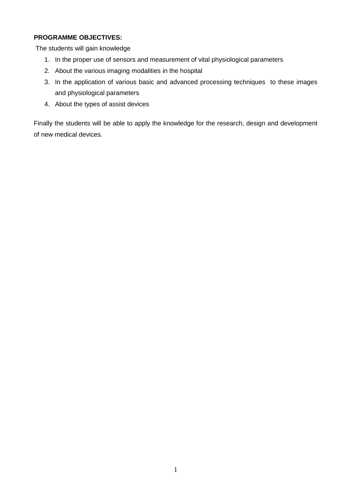### **PROGRAMME OBJECTIVES:**

The students will gain knowledge

- 1. In the proper use of sensors and measurement of vital physiological parameters
- 2. About the various imaging modalities in the hospital
- 3. In the application of various basic and advanced processing techniques to these images and physiological parameters
- 4. About the types of assist devices

Finally the students will be able to apply the knowledge for the research, design and development of new medical devices.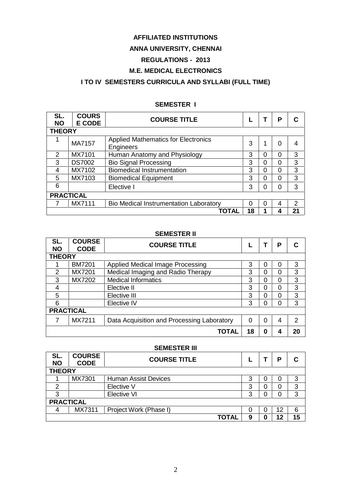#### **AFFILIATED INSTITUTIONS**

### **ANNA UNIVERSITY, CHENNAI**

#### **REGULATIONS - 2013**

### **M.E. MEDICAL ELECTRONICS**

### **I TO IV SEMESTERS CURRICULA AND SYLLABI (FULL TIME)**

#### **SEMESTER I**

| SL.<br><b>NO</b> | <b>COURS</b><br><b>E CODE</b> | <b>COURSE TITLE</b>                                     |          |   | Р | С             |
|------------------|-------------------------------|---------------------------------------------------------|----------|---|---|---------------|
| <b>THEORY</b>    |                               |                                                         |          |   |   |               |
|                  | MA7157                        | <b>Applied Mathematics for Electronics</b><br>Engineers | 3        |   | 0 | 4             |
| 2                | MX7101                        | Human Anatomy and Physiology                            | 3        | 0 | 0 | 3             |
| 3                | <b>DS7002</b>                 | <b>Bio Signal Processing</b>                            | 3        | 0 |   | 3             |
| 4                | MX7102                        | <b>Biomedical Instrumentation</b>                       | 3        | 0 | 0 | 3             |
| 5                | MX7103                        | <b>Biomedical Equipment</b>                             | 3        | ი | 0 | 3             |
| 6                |                               | Elective I                                              | 3        |   | O | 3             |
|                  | <b>PRACTICAL</b>              |                                                         |          |   |   |               |
|                  | MX7111                        | Bio Medical Instrumentation Laboratory                  | $\Omega$ |   |   | $\mathcal{P}$ |
|                  |                               | TOTAL                                                   | 18       |   |   | 21            |

#### **SEMESTER II**

| SL.<br><b>NO</b> | <b>COURSE</b><br><b>CODE</b> | <b>COURSE TITLE</b>                        |    | P | C             |
|------------------|------------------------------|--------------------------------------------|----|---|---------------|
| <b>THEORY</b>    |                              |                                            |    |   |               |
|                  | <b>BM7201</b>                | Applied Medical Image Processing           | 3  |   | 3             |
| $\overline{2}$   | MX7201                       | Medical Imaging and Radio Therapy          | 3  |   | 3             |
| 3                | MX7202                       | <b>Medical Informatics</b>                 | 3  |   | 3             |
| 4                |                              | Elective II                                | 3  |   | 3             |
| 5                |                              | Elective III                               | 3  |   | 3             |
| 6                |                              | Elective IV                                | 3  |   | 3             |
| <b>PRACTICAL</b> |                              |                                            |    |   |               |
|                  | MX7211                       | Data Acquisition and Processing Laboratory | 0  |   | $\mathcal{P}$ |
|                  |                              | TOTAL                                      | 18 |   | 20            |

#### **SEMESTER III**

| SL.<br><b>NO</b> | <b>COURSE</b><br><b>CODE</b> | <b>COURSE TITLE</b>         |   | D  | C  |
|------------------|------------------------------|-----------------------------|---|----|----|
| <b>THEORY</b>    |                              |                             |   |    |    |
|                  | MX7301                       | <b>Human Assist Devices</b> | 3 |    | 3  |
| 2                |                              | Elective V                  | 3 |    | 3  |
| 3                |                              | Elective VI                 | 3 |    | 3  |
|                  | <b>PRACTICAL</b>             |                             |   |    |    |
| 4                | MX7311                       | Project Work (Phase I)      | O | 12 | 6  |
|                  |                              | TOTAL                       | 9 |    | 15 |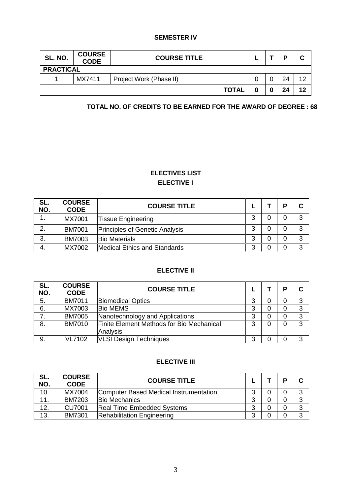#### **SEMESTER IV**

| SL. NO.          | <b>COURSE</b><br><b>CODE</b> | <b>COURSE TITLE</b>     |   | D  | С  |
|------------------|------------------------------|-------------------------|---|----|----|
| <b>PRACTICAL</b> |                              |                         |   |    |    |
|                  | MX7411                       | Project Work (Phase II) |   | 24 | 12 |
|                  |                              | <b>TOTAL</b>            | Λ | 24 | 12 |

#### **TOTAL NO. OF CREDITS TO BE EARNED FOR THE AWARD OF DEGREE : 68**

### **ELECTIVES LIST ELECTIVE I**

| SL.<br>NO. | <b>COURSE</b><br><b>CODE</b> | <b>COURSE TITLE</b>                   |        | D | C |
|------------|------------------------------|---------------------------------------|--------|---|---|
|            | MX7001                       | <b>Tissue Engineering</b>             | 3      |   | 3 |
| 2.         | <b>BM7001</b>                | <b>Principles of Genetic Analysis</b> | ◠<br>J |   | 3 |
| 3.         | <b>BM7003</b>                | <b>Bio Materials</b>                  | 3      |   | 3 |
| 4.         | MX7002                       | Medical Ethics and Standards          | ⌒<br>ت |   | 3 |

### **ELECTIVE II**

| SL.<br>NO. | <b>COURSE</b><br><b>CODE</b> | <b>COURSE TITLE</b>                       |   |   | D | C |
|------------|------------------------------|-------------------------------------------|---|---|---|---|
| 5.         | <b>BM7011</b>                | <b>Biomedical Optics</b>                  | 3 | 0 | 0 | 3 |
| 6.         | MX7003                       | <b>Bio MEMS</b>                           | 3 | 0 |   | 3 |
|            | <b>BM7005</b>                | Nanotechnology and Applications           | 3 | 0 | 0 | 3 |
| 8.         | <b>BM7010</b>                | Finite Element Methods for Bio Mechanical | 3 | 0 |   | 3 |
|            |                              | Analysis                                  |   |   |   |   |
| 9.         | <b>VL7102</b>                | <b>VLSI Design Techniques</b>             | 3 | 0 |   | 3 |

#### **ELECTIVE III**

| SL.<br>NO. | <b>COURSE</b><br><b>CODE</b> | <b>COURSE TITLE</b>                     |        | D | C |
|------------|------------------------------|-----------------------------------------|--------|---|---|
| 10.        | MX7004                       | Computer Based Medical Instrumentation. | ⌒      |   |   |
| 11.        | <b>BM7203</b>                | <b>Bio Mechanics</b>                    | ◠      |   | 3 |
| 12.        | <b>CU7001</b>                | <b>Real Time Embedded Systems</b>       | ⌒<br>ື |   | 3 |
| 13.        | <b>BM7301</b>                | <b>Rehabilitation Engineering</b>       | ົ      |   | 3 |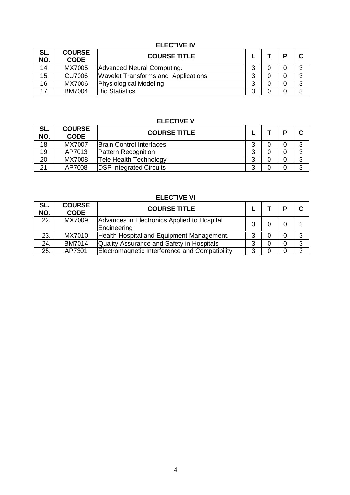### **ELECTIVE IV**

| SL.<br>NO. | <b>COURSE</b><br><b>CODE</b> | <b>COURSE TITLE</b>                        |        |   | D | C |
|------------|------------------------------|--------------------------------------------|--------|---|---|---|
| 14.        | MX7005                       | Advanced Neural Computing.                 | ◠      |   |   | 3 |
| 15.        | <b>CU7006</b>                | <b>Wavelet Transforms and Applications</b> | ◠<br>J | U |   | 3 |
| 16.        | MX7006                       | Physiological Modeling                     | ົ<br>J |   |   | 3 |
| 17         | <b>BM7004</b>                | <b>Bio Statistics</b>                      | ົ      |   |   | 3 |

### **ELECTIVE V**

| SL.<br>NO. | <b>COURSE</b><br><b>CODE</b> | <b>COURSE TITLE</b>             |        | D | C |
|------------|------------------------------|---------------------------------|--------|---|---|
| 18.        | MX7007                       | <b>Brain Control Interfaces</b> | ⌒<br>J |   | 3 |
| 19.        | AP7013                       | Pattern Recognition             | ◠      |   | 3 |
| 20.        | <b>MX7008</b>                | <b>Tele Health Technology</b>   | າ      |   | 3 |
| 21.        | AP7008                       | <b>DSP Integrated Circuits</b>  | ົ<br>J |   | 3 |

### **ELECTIVE VI**

| SL.<br>NO. | <b>COURSE</b><br><b>CODE</b> | <b>COURSE TITLE</b>                                        |   | D | C |
|------------|------------------------------|------------------------------------------------------------|---|---|---|
| 22.        | MX7009                       | Advances in Electronics Applied to Hospital<br>Engineering | າ |   | 3 |
| 23.        | MX7010                       | Health Hospital and Equipment Management.                  | 3 | 0 | 3 |
| 24.        | <b>BM7014</b>                | Quality Assurance and Safety in Hospitals                  | 3 | 0 | 3 |
| 25.        | AP7301                       | Electromagnetic Interference and Compatibility             | 3 |   | 3 |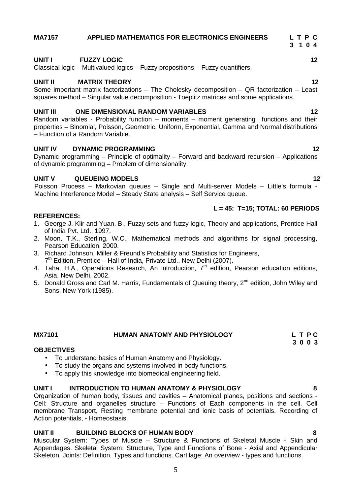### **MA7157 APPLIED MATHEMATICS FOR ELECTRONICS ENGINEERS L T P C**

#### **UNIT I FUZZY LOGIC 12**

Classical logic – Multivalued logics – Fuzzy propositions – Fuzzy quantifiers.

#### **UNIT II MATRIX THEORY 12**

Some important matrix factorizations – The Cholesky decomposition – QR factorization – Least squares method – Singular value decomposition - Toeplitz matrices and some applications.

#### **UNIT III ONE DIMENSIONAL RANDOM VARIABLES 12**

Random variables - Probability function – moments – moment generating functions and their properties – Binomial, Poisson, Geometric, Uniform, Exponential, Gamma and Normal distributions – Function of a Random Variable.

#### **UNIT IV DYNAMIC PROGRAMMING 12**

Dynamic programming – Principle of optimality – Forward and backward recursion – Applications of dynamic programming – Problem of dimensionality.

#### **UNIT V QUEUEING MODELS 12**

Poisson Process – Markovian queues – Single and Multi-server Models – Little's formula - Machine Interference Model – Steady State analysis – Self Service queue.

#### **REFERENCES:**

- 1. George J. Klir and Yuan, B., Fuzzy sets and fuzzy logic, Theory and applications, Prentice Hall of India Pvt. Ltd., 1997.
- 2. Moon, T.K., Sterling, W.C., Mathematical methods and algorithms for signal processing, Pearson Education, 2000.
- 3. Richard Johnson, Miller & Freund's Probability and Statistics for Engineers, 7 th Edition, Prentice – Hall of India, Private Ltd., New Delhi (2007).
- 4. Taha, H.A., Operations Research, An introduction, 7<sup>th</sup> edition, Pearson education editions, Asia, New Delhi, 2002.
- 5. Donald Gross and Carl M. Harris, Fundamentals of Queuing theory, 2<sup>nd</sup> edition, John Wiley and Sons, New York (1985).

**MX7101 HUMAN ANATOMY AND PHYSIOLOGY L T P C**

- **OBJECTIVES** To understand basics of Human Anatomy and Physiology.
	- To study the organs and systems involved in body functions.
	- To apply this knowledge into biomedical engineering field.

#### **UNIT I INTRODUCTION TO HUMAN ANATOMY & PHYSIOLOGY 8**

Organization of human body, tissues and cavities – Anatomical planes, positions and sections - Cell: Structure and organelles structure – Functions of Each components in the cell. Cell membrane Transport, Resting membrane potential and ionic basis of potentials, Recording of Action potentials, - Homeostasis.

#### **UNIT II BUILDING BLOCKS OF HUMAN BODY 8**

Muscular System: Types of Muscle – Structure & Functions of Skeletal Muscle - Skin and Appendages. Skeletal System: Structure, Type and Functions of Bone - Axial and Appendicular Skeleton. Joints: Definition, Types and functions. Cartilage: An overview - types and functions.

#### **L = 45: T=15; TOTAL: 60 PERIODS**

**3 0 0 3**

**3 1 0 4**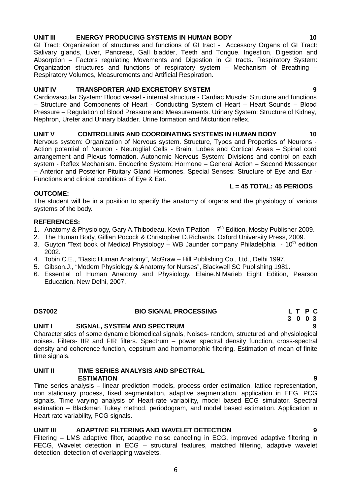**UNIT II TIME SERIES ANALYSIS AND SPECTRAL**

**UNIT I SIGNAL, SYSTEM AND SPECTRUM 9**

**ESTIMATION 9** Time series analysis – linear prediction models, process order estimation, lattice representation, non stationary process, fixed segmentation, adaptive segmentation, application in EEG, PCG signals, Time varying analysis of Heart-rate variability, model based ECG simulator. Spectral estimation – Blackman Tukey method, periodogram, and model based estimation. Application in Heart rate variability, PCG signals.

noises. Filters- IIR and FIR filters. Spectrum – power spectral density function, cross-spectral density and coherence function, cepstrum and homomorphic filtering. Estimation of mean of finite

### **UNIT III ADAPTIVE FILTERING AND WAVELET DETECTION 9**

Filtering – LMS adaptive filter, adaptive noise canceling in ECG, improved adaptive filtering in FECG, Wavelet detection in ECG – structural features, matched filtering, adaptive wavelet detection, detection of overlapping wavelets.

# **OUTCOME:**

The student will be in a position to specify the anatomy of organs and the physiology of various systems of the body.

#### **REFERENCES:**

time signals.

- 1. Anatomy & Physiology, Gary A.Thibodeau, Kevin T.Patton 7<sup>th</sup> Edition, Mosby Publisher 2009.
- 2. The Human Body, Gillian Pocock & Christopher D.Richards, Oxford University Press, 2009.
- 3. Guyton 'Text book of Medical Physiology WB Jaunder company Philadelphia  $\cdot$  10<sup>th</sup> edition 2002.
- 4. Tobin C.E., "Basic Human Anatomy", McGraw Hill Publishing Co., Ltd., Delhi 1997.
- 5. Gibson.J., "Modern Physiology & Anatomy for Nurses", Blackwell SC Publishing 1981.
- 6. Essential of Human Anatomy and Physiology, Elaine.N.Marieb Eight Edition, Pearson Education, New Delhi, 2007.

# **UNIT III ENERGY PRODUCING SYSTEMS IN HUMAN BODY 10**

GI Tract: Organization of structures and functions of GI tract - Accessory Organs of GI Tract: Salivary glands, Liver, Pancreas, Gall bladder, Teeth and Tongue. Ingestion, Digestion and Absorption – Factors regulating Movements and Digestion in GI tracts. Respiratory System: Organization structures and functions of respiratory system – Mechanism of Breathing – Respiratory Volumes, Measurements and Artificial Respiration.

### **UNIT IV TRANSPORTER AND EXCRETORY SYSTEM 9**

Cardiovascular System: Blood vessel - internal structure - Cardiac Muscle: Structure and functions – Structure and Components of Heart - Conducting System of Heart – Heart Sounds – Blood Pressure – Regulation of Blood Pressure and Measurements. Urinary System: Structure of Kidney, Nephron, Ureter and Urinary bladder. Urine formation and Micturition reflex.

### **UNIT V CONTROLLING AND COORDINATING SYSTEMS IN HUMAN BODY 10**

Nervous system: Organization of Nervous system. Structure, Types and Properties of Neurons - Action potential of Neuron - Neuroglial Cells - Brain, Lobes and Cortical Areas – Spinal cord arrangement and Plexus formation. Autonomic Nervous System: Divisions and control on each system - Reflex Mechanism. Endocrine System: Hormone – General Action – Second Messenger – Anterior and Posterior Pituitary Gland Hormones. Special Senses: Structure of Eye and Ear - Functions and clinical conditions of Eye & Ear.

### **L = 45 TOTAL: 45 PERIODS**

### **DS7002 BIO SIGNAL PROCESSING L T P C 3 0 0 3** Characteristics of some dynamic biomedical signals, Noises- random, structured and physiological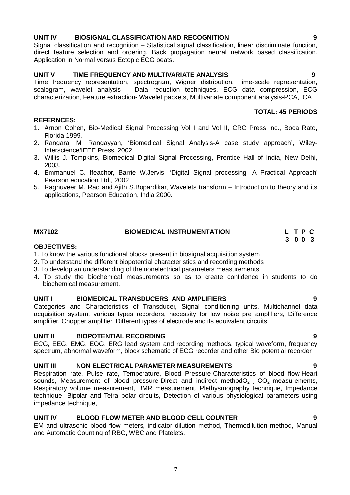#### **UNIT IV BIOSIGNAL CLASSIFICATION AND RECOGNITION 9**

Signal classification and recognition – Statistical signal classification, linear discriminate function, direct feature selection and ordering, Back propagation neural network based classification. Application in Normal versus Ectopic ECG beats.

### **UNIT V TIME FREQUENCY AND MULTIVARIATE ANALYSIS 9**

Time frequency representation, spectrogram, Wigner distribution, Time-scale representation, scalogram, wavelet analysis – Data reduction techniques, ECG data compression, ECG characterization, Feature extraction- Wavelet packets, Multivariate component analysis-PCA, ICA

### **TOTAL: 45 PERIODS**

- 1. Arnon Cohen, Bio-Medical Signal Processing Vol I and Vol II, CRC Press Inc., Boca Rato, Florida 1999.
- 2. Rangaraj M. Rangayyan, 'Biomedical Signal Analysis-A case study approach', Wiley-Interscience/IEEE Press, 2002
- 3. Willis J. Tompkins, Biomedical Digital Signal Processing, Prentice Hall of India, New Delhi, 2003.
- 4. Emmanuel C. Ifeachor, Barrie W.Jervis, 'Digital Signal processing- A Practical Approach' Pearson education Ltd., 2002
- 5. Raghuveer M. Rao and Ajith S.Bopardikar, Wavelets transform Introduction to theory and its applications, Pearson Education, India 2000.

#### **MX7102 BIOMEDICAL INSTRUMENTATION L T P C**

#### **OBJECTIVES:**

**REFERNCES:**

- 1. To know the various functional blocks present in biosignal acquisition system
- 2. To understand the different biopotential characteristics and recording methods
- 3. To develop an understanding of the nonelectrical parameters measurements
- 4. To study the biochemical measurements so as to create confidence in students to do biochemical measurement.

#### **UNIT I BIOMEDICAL TRANSDUCERS AND AMPLIFIERS 9**

Categories and Characteristics of Transducer, Signal conditioning units, Multichannel data acquisition system, various types recorders, necessity for low noise pre amplifiers, Difference amplifier, Chopper amplifier, Different types of electrode and its equivalent circuits.

#### **UNIT II BIOPOTENTIAL RECORDING 9**

ECG, EEG, EMG, EOG, ERG lead system and recording methods, typical waveform, frequency spectrum, abnormal waveform, block schematic of ECG recorder and other Bio potential recorder

#### **UNIT III NON ELECTRICAL PARAMETER MEASUREMENTS 9**

Respiration rate, Pulse rate, Temperature, Blood Pressure-Characteristics of blood flow-Heart sounds, Measurement of blood pressure-Direct and indirect method $O<sub>2</sub>$ ,  $CO<sub>2</sub>$  measurements, Respiratory volume measurement, BMR measurement, Plethysmography technique, Impedance technique- Bipolar and Tetra polar circuits, Detection of various physiological parameters using impedance technique,

#### **UNIT IV BLOOD FLOW METER AND BLOOD CELL COUNTER 9**

EM and ultrasonic blood flow meters, indicator dilution method, Thermodilution method, Manual and Automatic Counting of RBC, WBC and Platelets.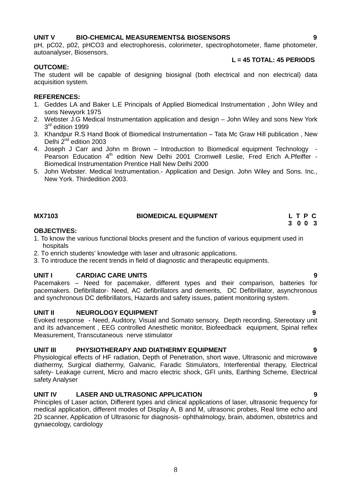#### **UNIT V BIO-CHEMICAL MEASUREMENTS& BIOSENSORS 9**

pH, pC02, p02, pHCO3 and electrophoresis, colorimeter, spectrophotometer, flame photometer, autoanalyser, Biosensors.

#### **OUTCOME:**

The student will be capable of designing biosignal (both electrical and non electrical) data acquisition system.

#### **REFERENCES:**

- 1. Geddes LA and Baker L.E Principals of Applied Biomedical Instrumentation , John Wiley and sons Newyork 1975
- 2. Webster J.G Medical Instrumentation application and design John Wiley and sons New York 3 rd edition 1999
- 3. Khandpur R.S Hand Book of Biomedical Instrumentation Tata Mc Graw Hill publication , New Delhi 2<sup>nd</sup> edition 2003
- 4. Joseph J Carr and John m Brown Introduction to Biomedical equipment Technology Pearson Education 4<sup>th</sup> edition New Delhi 2001 Cromwell Leslie, Fred Erich A.Pfeiffer -Biomedical Instrumentation Prentice Hall New Delhi 2000
- 5. John Webster. Medical Instrumentation.- Application and Design. John Wiley and Sons. Inc., New York. Thirdedition 2003.

#### **MX7103 BIOMEDICAL EQUIPMENT L T P C**

#### **OBJECTIVES:**

- 1. To know the various functional blocks present and the function of various equipment used in hospitals
- 2. To enrich students' knowledge with laser and ultrasonic applications.
- 3. To introduce the recent trends in field of diagnostic and therapeutic equipments.

#### **UNIT I CARDIAC CARE UNITS 9**

Pacemakers – Need for pacemaker, different types and their comparison, batteries for pacemakers. Defibrillator- Need, AC defibrillators and demerits, DC Defibrillator, asynchronous and synchronous DC defibrillators, Hazards and safety issues, patient monitoring system.

#### **UNIT II NEUROLOGY EQUIPMENT 9**

Evoked response - Need, Auditory, Visual and Somato sensory, Depth recording, Stereotaxy unit and its advancement , EEG controlled Anesthetic monitor, Biofeedback equipment, Spinal reflex Measurement, Transcutaneous nerve stimulator

#### **UNIT III PHYSIOTHERAPY AND DIATHERMY EQUIPMENT 9**

Physiological effects of HF radiation, Depth of Penetration, short wave, Ultrasonic and microwave diathermy, Surgical diathermy, Galvanic, Faradic Stimulators, Interferential therapy, Electrical safety- Leakage current, Micro and macro electric shock, GFI units, Earthing Scheme, Electrical safety Analyser

#### **UNIT IV LASER AND ULTRASONIC APPLICATION 9**

Principles of Laser action, Different types and clinical applications of laser, ultrasonic frequency for medical application, different modes of Display A, B and M, ultrasonic probes, Real time echo and 2D scanner, Application of Ultrasonic for diagnosis- ophthalmology, brain, abdomen, obstetrics and gynaecology, cardiology

**L = 45 TOTAL: 45 PERIODS**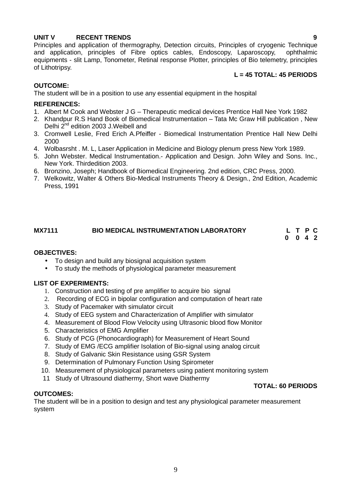#### **UNIT V RECENT TRENDS 9**

Principles and application of thermography, Detection circuits, Principles of cryogenic Technique and application, principles of Fibre optics cables, Endoscopy, Laparoscopy, ophthalmic equipments - slit Lamp, Tonometer, Retinal response Plotter, principles of Bio telemetry, principles of Lithotripsy.

#### **L = 45 TOTAL: 45 PERIODS**

#### **OUTCOME:**

The student will be in a position to use any essential equipment in the hospital

#### **REFERENCES:**

- 1. Albert M Cook and Webster J G Therapeutic medical devices Prentice Hall Nee York 1982
- 2. Khandpur R.S Hand Book of Biomedical Instrumentation Tata Mc Graw Hill publication , New Delhi 2<sup>nd</sup> edition 2003 J. Weibell and
- 3. Cromwell Leslie, Fred Erich A.Pfeiffer Biomedical Instrumentation Prentice Hall New Delhi 2000
- 4. Wolbasrsht . M. L, Laser Application in Medicine and Biology plenum press New York 1989.
- 5. John Webster. Medical Instrumentation.- Application and Design. John Wiley and Sons. Inc., New York. Thirdedition 2003.
- 6. Bronzino, Joseph; Handbook of Biomedical Engineering. 2nd edition, CRC Press, 2000.
- 7. Welkowitz, Walter & Others Bio-Medical Instruments Theory & Design., 2nd Edition, Academic Press, 1991

### **MX7111 BIO MEDICAL INSTRUMENTATION LABORATORY L T P C**

**0 0 4 2**

#### **OBJECTIVES:**

- To design and build any biosignal acquisition system
- To study the methods of physiological parameter measurement

#### **LIST OF EXPERIMENTS:**

- 1. Construction and testing of pre amplifier to acquire bio signal
- 2. Recording of ECG in bipolar configuration and computation of heart rate
- 3. Study of Pacemaker with simulator circuit
- 4. Study of EEG system and Characterization of Amplifier with simulator
- 4. Measurement of Blood Flow Velocity using Ultrasonic blood flow Monitor
- 5. Characteristics of EMG Amplifier
- 6. Study of PCG (Phonocardiograph) for Measurement of Heart Sound
- 7. Study of EMG /ECG amplifier Isolation of Bio-signal using analog circuit
- 8. Study of Galvanic Skin Resistance using GSR System
- 9. Determination of Pulmonary Function Using Spirometer
- 10. Measurement of physiological parameters using patient monitoring system
- 11 Study of Ultrasound diathermy, Short wave Diathermy

#### **TOTAL: 60 PERIODS**

#### **OUTCOMES:**

The student will be in a position to design and test any physiological parameter measurement system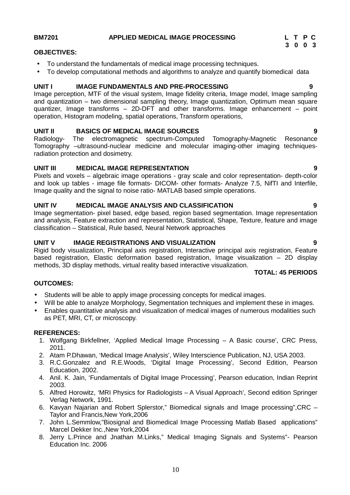#### **BM7201 APPLIED MEDICAL IMAGE PROCESSING L T P C**

#### **OBJECTIVES:**

- To understand the fundamentals of medical image processing techniques.
- To develop computational methods and algorithms to analyze and quantify biomedical data

#### **UNIT I IMAGE FUNDAMENTALS AND PRE-PROCESSING 9**

Image perception, MTF of the visual system, Image fidelity criteria, Image model, Image sampling and quantization – two dimensional sampling theory, Image quantization, Optimum mean square quantizer, Image transforms – 2D-DFT and other transforms. Image enhancement – point operation, Histogram modeling, spatial operations, Transform operations,

#### **UNIT II BASICS OF MEDICAL IMAGE SOURCES 9**

Radiology- The electromagnetic spectrum-Computed Tomography-Magnetic Resonance Tomography –ultrasound-nuclear medicine and molecular imaging-other imaging techniquesradiation protection and dosimetry.

#### **UNIT III MEDICAL IMAGE REPRESENTATION 9**

Pixels and voxels – algebraic image operations - gray scale and color representation- depth-color and look up tables - image file formats- DICOM- other formats- Analyze 7.5, NifTI and Interfile, Image quality and the signal to noise ratio- MATLAB based simple operations.

#### **UNIT IV MEDICAL IMAGE ANALYSIS AND CLASSIFICATION 9**

Image segmentation- pixel based, edge based, region based segmentation. Image representation and analysis, Feature extraction and representation, Statistical, Shape, Texture, feature and image classification – Statistical, Rule based, Neural Network approaches

#### **UNIT V IMAGE REGISTRATIONS AND VISUALIZATION 9**

Rigid body visualization, Principal axis registration, Interactive principal axis registration, Feature based registration, Elastic deformation based registration, Image visualization – 2D display methods, 3D display methods, virtual reality based interactive visualization.

#### **TOTAL: 45 PERIODS**

#### **OUTCOMES:**

- Students will be able to apply image processing concepts for medical images.
- Will be able to analyze Morphology, Segmentation techniques and implement these in images.
- Enables quantitative analysis and visualization of medical images of numerous modalities such as PET, MRI, CT, or microscopy.

#### **REFERENCES:**

- 1. Wolfgang Birkfellner, 'Applied Medical Image Processing A Basic course', CRC Press, 2011.
- 2. Atam P.Dhawan, 'Medical Image Analysis', Wiley Interscience Publication, NJ, USA 2003.
- 3. R.C.Gonzalez and R.E.Woods, 'Digital Image Processing', Second Edition, Pearson Education, 2002.
- 4. Anil. K. Jain, 'Fundamentals of Digital Image Processing', Pearson education, Indian Reprint 2003.
- 5. Alfred Horowitz, 'MRI Physics for Radiologists A Visual Approach', Second edition Springer Verlag Network, 1991.
- 6. Kavyan Najarian and Robert Splerstor," Biomedical signals and Image processing",CRC Taylor and Francis,New York,2006
- 7. John L.Semmlow,"Biosignal and Biomedical Image Processing Matlab Based applications" Marcel Dekker Inc.,New York,2004
- 8. Jerry L.Prince and Jnathan M.Links," Medical Imaging Signals and Systems"- Pearson Education Inc. 2006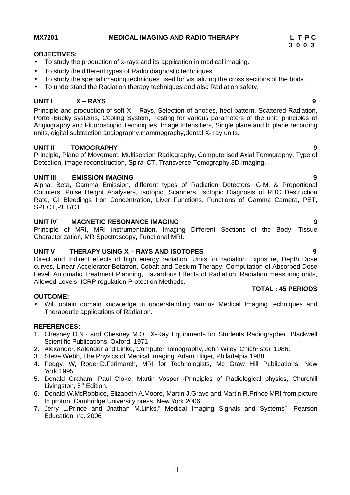#### **MX7201 MEDICAL IMAGING AND RADIO THERAPY L T P C**

#### **OBJECTIVES:**

- To study the production of x-rays and its application in medical imaging.
- To study the different types of Radio diagnostic techniques.
- To study the special imaging techniques used for visualizing the cross sections of the body.
- To understand the Radiation therapy techniques and also Radiation safety.

#### **UNIT I X –RAYS 9**

Principle and production of soft X – Rays, Selection of anodes, heel pattern, Scattered Radiation, Porter-Bucky systems, Cooling System, Testing for various parameters of the unit, principles of Angiography and Fluoroscopic Techniques, Image Intensifiers, Single plane and bi plane recording units, digital subtraction angiography,mammography,dental X- ray units.

#### **UNIT II TOMOGRAPHY 9**

Principle, Plane of Movement, Multisection Radiography, Computerised Axial Tomography, Type of Detection, image reconstruction, Spiral CT, Transverse Tomography,3D Imaging.

#### **UNIT III EMISSION IMAGING 9**

Alpha, Beta, Gamma Emission, different types of Radiation Detectors, G.M. & Proportional Counters, Pulse Height Analysers, Isotopic, Scanners, Isotopic Diagnosis of RBC Destruction Rate, GI Bleedings Iron Concentration, Liver Functions, Functions of Gamma Camera, PET, SPECT,PET/CT.

#### **UNIT IV MAGNETIC RESONANCE IMAGING 9**

Principle of MRI, MRI instrumentation, Imaging Different Sections of the Body, Tissue Characterization, MR Spectroscopy, Functional MRI.

#### **UNIT V THERAPY USING X –RAYS AND ISOTOPES 9**

Direct and Indirect effects of high energy radiation, Units for radiation Exposure, Depth Dose curves, Linear Accelerator Betatron, Cobalt and Cesium Therapy, Computation of Absorbed Dose Level, Automatic Treatment Planning, Hazardous Effects of Radiation, Radiation measuring units, Allowed Levels, ICRP regulation Protection Methods.

#### **OUTCOME:**

 Will obtain domain knowledge in understanding various Medical Imaging techniques and Therapeutic applications of Radiation.

#### **REFERENCES:**

- 1. Chesney D.N~ and Chesney M.O., X-Ray Equipments for Students Radiographer, Blackwell Scientific Publications, Oxford, 1971
- 2. Alexander, Kalender and Linke, Computer Tomography, John Wiley, Chich~ster, 1986.
- 3. Steve Webb, The Physics of Medical Imaging, Adam Hilger, Philadelpia,1988.
- 4. Peggy. W, Roger.D.Ferimarch, MRI for Technologists, Mc Graw Hill Publications, New York,1995.
- 5. Donald Graham, Paul Cloke, Martin Vosper -Principles of Radiological physics, Churchill Livingston, 5<sup>th</sup> Edition.
- 6. Donald W.McRobbice, Elizabeth A.Moore, Martin J.Grave and Martin R.Prince MRI from picture to proton ,Cambridge University press, New York 2006.
- 7. Jerry L.Prince and Jnathan M.Links," Medical Imaging Signals and Systems"- Pearson Education Inc. 2006

**3 0 0 3**

**TOTAL : 45 PERIODS**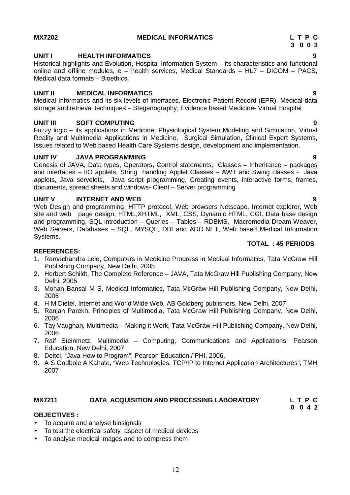#### **MX7202 MEDICAL INFORMATICS L T P C**

#### **UNIT I HEALTH INFORMATICS 9**

Historical highlights and Evolution, Hospital Information System – its characteristics and functional online and offline modules, e – health services, Medical Standards – HL7 – DICOM – PACS, Medical data formats – Bioethics.

#### **UNIT II MEDICAL INFORMATICS 9**

Medical Informatics and its six levels of interfaces, Electronic Patient Record (EPR), Medical data storage and retrieval techniques – Steganography, Evidence based Medicine- Virtual Hospital

#### **UNIT III SOFT COMPUTING 9**

Fuzzy logic – its applications in Medicine, Physiological System Modeling and Simulation, Virtual Reality and Multimedia Applications in Medicine, Surgical Simulation, Clinical Expert Systems, Issues related to Web based Health Care Systems design, development and implementation.

#### **UNIT IV JAVA PROGRAMMING 9**

Genesis of JAVA, Data types, Operators, Control statements, Classes – Inheritance – packages and interfaces – I/O applets, String handling Applet Classes – AWT and Swing classes - Java applets, Java servelets, Java script programming, Creating events, interactive forms, frames, documents, spread sheets and windows- Client – Server programming

#### **UNIT V INTERNET AND WEB 9**

Web Design and programming, HTTP protocol, Web browsers Netscape, Internet explorer, Web site and web page design, HTML,XHTML, XML, CSS, Dynamic HTML, CGI. Data base design and programming, SQL introduction – Queries – Tables – RDBMS, Macromedia Dream Weaver, Web Servers, Databases – SQL, MYSQL, DBI and ADO.NET, Web based Medical Information Systems.

#### **REFERENCES:**

- 1. Ramachandra Lele, Computers in Medicine Progress in Medical Informatics, Tata McGraw Hill Publishing Company, New Delhi, 2005
- 2. Herbert Schildt, The Complete Reference JAVA, Tata McGraw Hill Publishing Company, New Delhi, 2005
- 3. Mohan Bansal M S, Medical Informatics, Tata McGraw Hill Publishing Company, New Delhi, 2005
- 4. H M Dietel, Internet and World Wide Web, AB Goldberg publishers, New Delhi, 2007
- 5. Ranjan Parekh, Principles of Multimedia, Tata McGraw Hill Publishing Company, New Delhi, 2006
- 6. Tay Vaughan, Multimedia Making it Work, Tata McGraw Hill Publishing Company, New Delhi, 2006
- 7. Raif Steinmetz, Multimedia Computing, Communications and Applications, Pearson Education, New Delhi, 2007
- 8. Deitel, "Java How to Program", Pearson Education / PHI, 2006.
- 9. A S Godbole A Kahate, "Web Technologies, TCP/IP to Internet Application Architectures", TMH 2007

#### **MX7211 DATA ACQUISITION AND PROCESSING LABORATORY L T P C**

#### **OBJECTIVES :**

- To acquire and analyse biosignals
- To test the electrical safety aspect of medical devices
- To analyse medical images and to compress them

#### **TOTAL : 45 PERIODS**

**3 0 0 3**

# **0 0 4 2**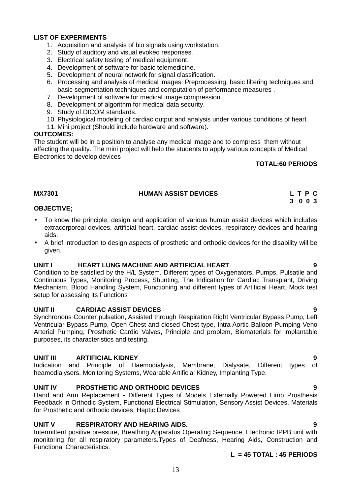#### **LIST OF EXPERIMENTS**

- 1. Acquisition and analysis of bio signals using workstation.
- 2. Study of auditory and visual evoked responses.
- 3. Electrical safety testing of medical equipment.
- 4. Development of software for basic telemedicine.
- 5. Development of neural network for signal classification.
- 6. Processing and analysis of medical images: Preprocessing, basic filtering techniques and basic segmentation techniques and computation of performance measures .
- 7. Development of software for medical image compression.
- 8. Development of algorithm for medical data security.
- 9. Study of DICOM standards.
- 10. Physiological modeling of cardiac output and analysis under various conditions of heart.
- 11. Mini project (Should include hardware and software).

#### **OUTCOMES:**

The student will be in a position to analyse any medical image and to compress them without affecting the quality. The mini project will help the students to apply various concepts of Medical Electronics to develop devices

#### **TOTAL:60 PERIODS**

#### **MX7301 HUMAN ASSIST DEVICES L T P C 3 0 0 3**

#### **OBJECTIVE;**

- To know the principle, design and application of various human assist devices which includes extracorporeal devices, artificial heart, cardiac assist devices, respiratory devices and hearing aids.
- A brief introduction to design aspects of prosthetic and orthodic devices for the disability will be given.

#### **UNIT I HEART LUNG MACHINE AND ARTIFICIAL HEART 9**

Condition to be satisfied by the H/L System. Different types of Oxygenators, Pumps, Pulsatile and Continuous Types, Monitoring Process, Shunting, The Indication for Cardiac Transplant, Driving Mechanism, Blood Handling System, Functioning and different types of Artificial Heart, Mock test setup for assessing its Functions

#### **UNIT II CARDIAC ASSIST DEVICES 9**

Synchronous Counter pulsation, Assisted through Respiration Right Ventricular Bypass Pump, Left Ventricular Bypass Pump, Open Chest and closed Chest type, Intra Aortic Balloon Pumping Veno Arterial Pumping, Prosthetic Cardio Valves, Principle and problem, Biomaterials for implantable purposes, its characteristics and testing.

#### **UNIT III ARTIFICIAL KIDNEY 9**

Indication and Principle of Haemodialysis, Membrane, Dialysate, Different types of heamodialysers, Monitoring Systems, Wearable Artificial Kidney, Implanting Type.

#### **UNIT IV PROSTHETIC AND ORTHODIC DEVICES 9**

Hand and Arm Replacement - Different Types of Models Externally Powered Limb Prosthesis Feedback in Orthodic System, Functional Electrical Stimulation, Sensory Assist Devices, Materials for Prosthetic and orthodic devices, Haptic Devices

#### **UNIT V RESPIRATORY AND HEARING AIDS. 9**

Intermittent positive pressure, Breathing Apparatus Operating Sequence, Electronic IPPB unit with monitoring for all respiratory parameters.Types of Deafness, Hearing Aids, Construction and Functional Characteristics.

#### **L = 45 TOTAL : 45 PERIODS**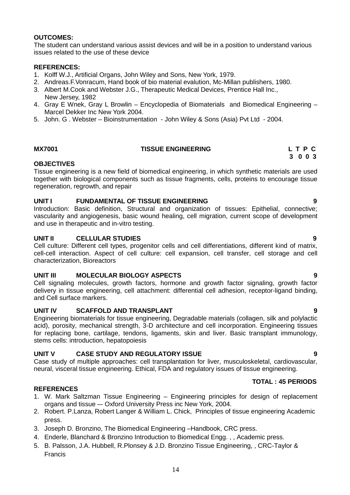#### **OUTCOMES:**

The student can understand various assist devices and will be in a position to understand various issues related to the use of these device

#### **REFERENCES:**

- 1. Kolff W.J., Artificial Organs, John Wiley and Sons, New York, 1979.
- 2. Andreas.F.Vonracum, Hand book of bio material evalution, Mc-Millan publishers, 1980.
- 3. Albert M.Cook and Webster J.G., Therapeutic Medical Devices, Prentice Hall Inc., New Jersey, 1982
- 4. Gray E Wnek, Gray L Browlin Encyclopedia of Biomaterials and Biomedical Engineering Marcel Dekker Inc New York 2004.
- 5. John. G . Webster Bioinstrumentation John Wiley & Sons (Asia) Pvt Ltd 2004.

#### **MX7001 TISSUE ENGINEERING L T P C**

#### **OBJECTIVES**

Tissue engineering is a new field of biomedical engineering, in which synthetic materials are used together with biological components such as tissue fragments, cells, proteins to encourage tissue regeneration, regrowth, and repair

#### **UNIT I FUNDAMENTAL OF TISSUE ENGINEERING 9**

Introduction: Basic definition, Structural and organization of tissues: Epithelial, connective; vascularity and angiogenesis, basic wound healing, cell migration, current scope of development and use in therapeutic and in-vitro testing.

#### **UNIT II CELLULAR STUDIES 9**

Cell culture: Different cell types, progenitor cells and cell differentiations, different kind of matrix, cell-cell interaction. Aspect of cell culture: cell expansion, cell transfer, cell storage and cell characterization, Bioreactors

#### **UNIT III MOLECULAR BIOLOGY ASPECTS 9**

Cell signaling molecules, growth factors, hormone and growth factor signaling, growth factor delivery in tissue engineering, cell attachment: differential cell adhesion, receptor-ligand binding, and Cell surface markers.

#### **UNIT IV SCAFFOLD AND TRANSPLANT 9**

Engineering biomaterials for tissue engineering, Degradable materials (collagen, silk and polylactic acid), porosity, mechanical strength, 3-D architecture and cell incorporation. Engineering tissues for replacing bone, cartilage, tendons, ligaments, skin and liver. Basic transplant immunology, stems cells: introduction, hepatopoiesis

#### **UNIT V CASE STUDY AND REGULATORY ISSUE 9**

Case study of multiple approaches: cell transplantation for liver, musculoskeletal, cardiovascular, neural, visceral tissue engineering. Ethical, FDA and regulatory issues of tissue engineering.

#### **REFERENCES**

- 1. W. Mark Saltzman Tissue Engineering Engineering principles for design of replacement organs and tissue –- Oxford University Press inc New York, 2004.
- 2. Robert. P.Lanza, Robert Langer & William L. Chick, Principles of tissue engineering Academic press.
- 3. Joseph D. Bronzino, The Biomedical Engineering –Handbook, CRC press.
- 4. Enderle, Blanchard & Bronzino Introduction to Biomedical Engg. , , Academic press.
- 5. B. Palsson, J.A. Hubbell, R.Plonsey & J.D. Bronzino Tissue Engineering, , CRC-Taylor & Francis

### **TOTAL : 45 PERIODS**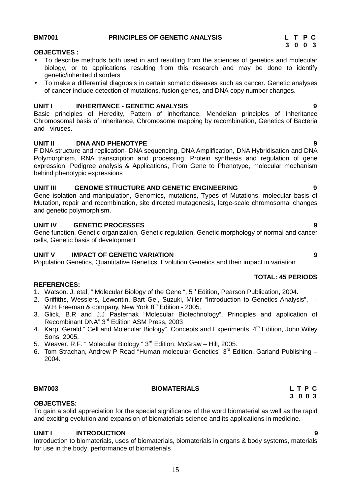#### **BM7001 PRINCIPLES OF GENETIC ANALYSIS L T P C**

#### **OBJECTIVES :**

- To describe methods both used in and resulting from the sciences of genetics and molecular biology, or to applications resulting from this research and may be done to identify genetic/inherited disorders
- To make a differential diagnosis in certain somatic diseases such as cancer. Genetic analyses of cancer include detection of mutations, fusion genes, and DNA copy number changes.

#### **UNIT I INHERITANCE - GENETIC ANALYSIS 9**

Basic principles of Heredity, Pattern of inheritance, Mendelian principles of Inheritance Chromosomal basis of inheritance, Chromosome mapping by recombination, Genetics of Bacteria and viruses.

#### **UNIT II DNA AND PHENOTYPE 9**

F DNA structure and replication- DNA sequencing, DNA Amplification, DNA Hybridisation and DNA Polymorphism, RNA transcription and processing, Protein synthesis and regulation of gene expression. Pedigree analysis & Applications, From Gene to Phenotype, molecular mechanism behind phenotypic expressions

#### **UNIT III GENOME STRUCTURE AND GENETIC ENGINEERING 9**

Gene isolation and manipulation, Genomics, mutations, Types of Mutations, molecular basis of Mutation, repair and recombination, site directed mutagenesis, large-scale chromosomal changes and genetic polymorphism.

#### **UNIT IV GENETIC PROCESSES 9**

Gene function, Genetic organization, Genetic regulation, Genetic morphology of normal and cancer cells, Genetic basis of development

#### **UNIT V IMPACT OF GENETIC VARIATION 9**

Population Genetics, Quantitative Genetics, Evolution Genetics and their impact in variation

#### **REFERENCES:**

- 1. Watson. J. etal, "Molecular Biology of the Gene ", 5<sup>th</sup> Edition, Pearson Publication, 2004.
- 2. Griffiths, Wesslers, Lewontin, Bart Gel, Suzuki, Miller "Introduction to Genetics Analysis", W.H Freeman & company, New York 8<sup>th</sup> Edition - 2005.
- 3. Glick, B.R and J.J Pasternak "Molecular Biotechnology", Principles and application of Recombinant DNA" 3rd Edition ASM Press, 2003
- 4. Karp, Gerald." Cell and Molecular Biology". Concepts and Experiments, 4<sup>th</sup> Edition, John Wiley Sons, 2005.
- 5. Weaver, R.F. " Molecular Biology " 3<sup>rd</sup> Edition, McGraw Hill, 2005.
- 6. Tom Strachan, Andrew P Read "Human molecular Genetics"  $3<sup>rd</sup>$  Edition, Garland Publishing  $-$ 2004.

#### **BM7003 BIOMATERIALS L T P C**

#### **OBJECTIVES:**

To gain a solid appreciation for the special significance of the word biomaterial as well as the rapid and exciting evolution and expansion of biomaterials science and its applications in medicine.

#### **UNIT I INTRODUCTION 9**

Introduction to biomaterials, uses of biomaterials, biomaterials in organs & body systems, materials for use in the body, performance of biomaterials

#### **TOTAL: 45 PERIODS**

# **3 0 0 3**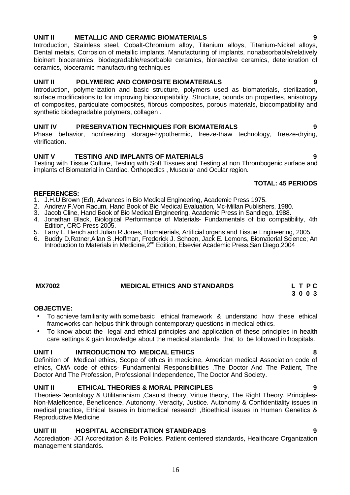#### **UNIT II METALLIC AND CERAMIC BIOMATERIALS 9**

Introduction, Stainless steel, Cobalt-Chromium alloy, Titanium alloys, Titanium-Nickel alloys, Dental metals, Corrosion of metallic implants, Manufacturing of implants, nonabsorbable/relatively bioinert bioceramics, biodegradable/resorbable ceramics, bioreactive ceramics, deterioration of ceramics, bioceramic manufacturing techniques

#### **UNIT II POLYMERIC AND COMPOSITE BIOMATERIALS 9**

Introduction, polymerization and basic structure, polymers used as biomaterials, sterilization, surface modifications to for improving biocompatibility. Structure, bounds on properties, anisotropy of composites, particulate composites, fibrous composites, porous materials, biocompatibility and synthetic biodegradable polymers, collagen .

#### **UNIT IV PRESERVATION TECHNIQUES FOR BIOMATERIALS 9**

#### Phase behavior, nonfreezing storage-hypothermic, freeze-thaw technology, freeze-drying, vitrification.

#### **UNIT V TESTING AND IMPLANTS OF MATERIALS 9**

Testing with Tissue Culture, Testing with Soft Tissues and Testing at non Thrombogenic surface and implants of Biomaterial in Cardiac, Orthopedics , Muscular and Ocular region.

#### **TOTAL: 45 PERIODS**

#### **REFERENCES:**

- 1. J.H.U.Brown (Ed), Advances in Bio Medical Engineering, Academic Press 1975.
- 2. Andrew F.Von Racum, Hand Book of Bio Medical Evaluation, Mc-Millan Publishers, 1980.
- 3. Jacob Cline, Hand Book of Bio Medical Engineering, Academic Press in Sandiego, 1988.
- 4. Jonathan Black, Biological Performance of Materials- Fundamentals of bio compatibility, 4th Edition, CRC Press 2005.
- 5. Larry L. Hench and Julian R.Jones, Biomaterials, Artificial organs and Tissue Engineering, 2005.
- 6. Buddy D.Ratner,Allan S .Hoffman, Frederick J. Schoen, Jack E. Lemons, Biomaterial Science; An Introduction to Materials in Medicine, 2<sup>nd</sup> Edition, Elsevier Academic Press, San Diego, 2004

#### **MX7002 MEDICAL ETHICS AND STANDARDS L T P C**

#### **OBJECTIVE:**

- To achieve familiarity with somebasic ethical framework & understand how these ethical frameworks can helpus think through contemporary questions in medical ethics.
- To know about the legal and ethical principles and application of these principles in health care settings & gain knowledge about the medical standards that to be followed in hospitals.

#### **UNIT I INTRODUCTION TO MEDICAL ETHICS 8**

Definition of Medical ethics, Scope of ethics in medicine, American medical Association code of ethics, CMA code of ethics- Fundamental Responsibilities ,The Doctor And The Patient, The Doctor And The Profession, Professional Independence, The Doctor And Society.

#### **UNIT II ETHICAL THEORIES & MORAL PRINCIPLES 9**

Theories-Deontology & Utilitarianism ,Casuist theory, Virtue theory, The Right Theory. Principles- Non-Maleficence, Beneficence, Autonomy, Veracity, Justice. Autonomy & Confidentiality issues in medical practice, Ethical Issues in biomedical research ,Bioethical issues in Human Genetics & Reproductive Medicine

#### **UNIT III HOSPITAL ACCREDITATION STANDRADS 9**

Accrediation- JCI Accreditation & its Policies. Patient centered standards, Healthcare Organization management standards.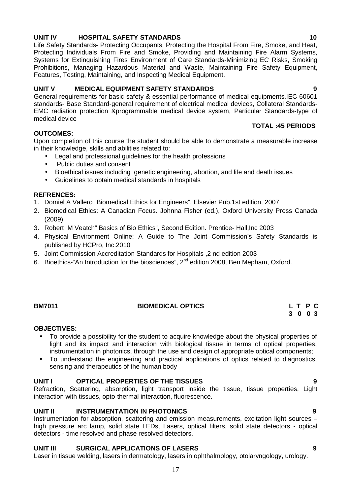### **UNIT IV HOSPITAL SAFETY STANDARDS 10**

Life Safety Standards- Protecting Occupants, Protecting the Hospital From Fire, Smoke, and Heat, Protecting Individuals From Fire and Smoke, Providing and Maintaining Fire Alarm Systems, Systems for Extinguishing Fires Environment of Care Standards-Minimizing EC Risks, Smoking Prohibitions, Managing Hazardous Material and Waste, Maintaining Fire Safety Equipment, Features, Testing, Maintaining, and Inspecting Medical Equipment.

#### **UNIT V MEDICAL EQUIPMENT SAFETY STANDARDS 9**

General requirements for basic safety & essential performance of medical equipments.IEC 60601 standards- Base Standard-general requirement of electrical medical devices, Collateral Standards- EMC radiation protection &programmable medical device system, Particular Standards-type of medical device **TOTAL :45 PERIODS**

#### **OUTCOMES:**

Upon completion of this course the student should be able to demonstrate a measurable increase in their knowledge, skills and abilities related to:

- Legal and professional guidelines for the health professions
- Public duties and consent
- Bioethical issues including genetic engineering, abortion, and life and death issues
- Guidelines to obtain medical standards in hospitals

#### **REFRENCES:**

1. Domiel A Vallero "Biomedical Ethics for Engineers", Elsevier Pub.1st edition, 2007

- 2. Biomedical Ethics: A Canadian Focus. Johnna Fisher (ed.), Oxford University Press Canada (2009)
- 3. Robert M Veatch" Basics of Bio Ethics", Second Edition. Prentice- Hall,Inc 2003
- 4. Physical Environment Online: A Guide to The Joint Commission's Safety Standards is published by HCPro, Inc.2010
- 5. Joint Commission Accreditation Standards for Hospitals ,2 nd edition 2003
- 6. Bioethics-"An Introduction for the biosciences", 2<sup>nd</sup> edition 2008, Ben Mepham, Oxford.

#### **OBJECTIVES:**

- To provide a possibility for the student to acquire knowledge about the physical properties of light and its impact and interaction with biological tissue in terms of optical properties, instrumentation in photonics, through the use and design of appropriate optical components;
- To understand the engineering and practical applications of optics related to diagnostics, sensing and therapeutics of the human body

#### **UNIT I OPTICAL PROPERTIES OF THE TISSUES 9**

Refraction, Scattering, absorption, light transport inside the tissue, tissue properties, Light interaction with tissues, opto-thermal interaction, fluorescence.

#### **UNIT II INSTRUMENTATION IN PHOTONICS 9**

Instrumentation for absorption, scattering and emission measurements, excitation light sources – high pressure arc lamp, solid state LEDs, Lasers, optical filters, solid state detectors - optical detectors - time resolved and phase resolved detectors.

#### **UNIT III SURGICAL APPLICATIONS OF LASERS 9**

Laser in tissue welding, lasers in dermatology, lasers in ophthalmology, otolaryngology, urology.

**BM7011 BIOMEDICAL OPTICS L T P C 3 0 0 3**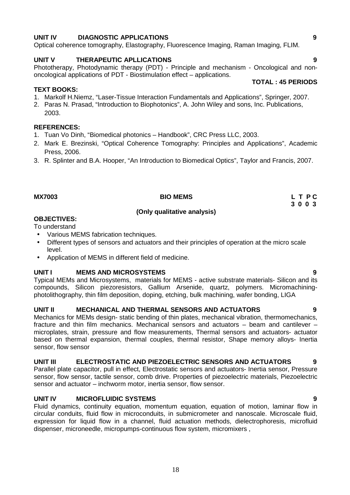### **UNIT IV DIAGNOSTIC APPLICATIONS 9**

Optical coherence tomography, Elastography, Fluorescence Imaging, Raman Imaging, FLIM.

#### **UNIT V THERAPEUTIC APLLICATIONS 9** Phototherapy, Photodynamic therapy (PDT) - Principle and mechanism - Oncological and non-

#### **TEXT BOOKS:**

- 1. Markolf H.Niemz, "Laser-Tissue Interaction Fundamentals and Applications", Springer, 2007.
- 2. Paras N. Prasad, "Introduction to Biophotonics", A. John Wiley and sons, Inc. Publications, 2003.

#### **REFERENCES:**

1. Tuan Vo Dinh, "Biomedical photonics – Handbook", CRC Press LLC, 2003.

oncological applications of PDT - Biostimulation effect – applications.

- 2. Mark E. Brezinski, "Optical Coherence Tomography: Principles and Applications", Academic Press, 2006.
- 3. R. Splinter and B.A. Hooper, "An Introduction to Biomedical Optics", Taylor and Francis, 2007.

#### **MX7003 BIO MEMS L T P C**

#### **(Only qualitative analysis)**

#### **OBJECTIVES:**

To understand

- Various MEMS fabrication techniques.
- Different types of sensors and actuators and their principles of operation at the micro scale level.
- Application of MEMS in different field of medicine.

#### **UNIT I MEMS AND MICROSYSTEMS 9**

Typical MEMs and Microsystems, materials for MEMS - active substrate materials- Silicon and its compounds, Silicon piezoresistors, Gallium Arsenide, quartz, polymers. Micromachining photolithography, thin film deposition, doping, etching, bulk machining, wafer bonding, LIGA

#### **UNIT II MECHANICAL AND THERMAL SENSORS AND ACTUATORS 9**

Mechanics for MEMs design- static bending of thin plates, mechanical vibration, thermomechanics, fracture and thin film mechanics. Mechanical sensors and actuators – beam and cantilever – microplates, strain, pressure and flow measurements, Thermal sensors and actuators- actuator based on thermal expansion, thermal couples, thermal resistor, Shape memory alloys- Inertia sensor, flow sensor

#### **UNIT III ELECTROSTATIC AND PIEZOELECTRIC SENSORS AND ACTUATORS 9**

Parallel plate capacitor, pull in effect, Electrostatic sensors and actuators- Inertia sensor, Pressure sensor, flow sensor, tactile sensor, comb drive. Properties of piezoelectric materials, Piezoelectric sensor and actuator – inchworm motor, inertia sensor, flow sensor.

#### **UNIT IV MICROFLUIDIC SYSTEMS 9**

Fluid dynamics, continuity equation, momentum equation, equation of motion, laminar flow in circular conduits, fluid flow in microconduits, in submicrometer and nanoscale. Microscale fluid, expression for liquid flow in a channel, fluid actuation methods, dielectrophoresis, microfluid dispenser, microneedle, micropumps-continuous flow system, micromixers ,

**3 0 0 3**

### **TOTAL : 45 PERIODS**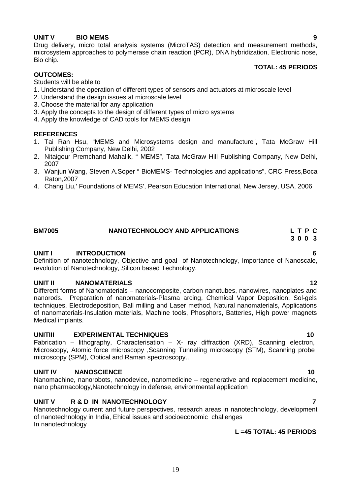### **UNIT V BIO MEMS 9**

Drug delivery, micro total analysis systems (MicroTAS) detection and measurement methods, microsystem approaches to polymerase chain reaction (PCR), DNA hybridization, Electronic nose, Bio chip.

#### **TOTAL: 45 PERIODS**

#### **OUTCOMES:**

Students will be able to

- 1. Understand the operation of different types of sensors and actuators at microscale level
- 2. Understand the design issues at microscale level
- 3. Choose the material for any application
- 3. Apply the concepts to the design of different types of micro systems
- 4. Apply the knowledge of CAD tools for MEMS design

#### **REFERENCES**

- 1. Tai Ran Hsu, "MEMS and Microsystems design and manufacture", Tata McGraw Hill Publishing Company, New Delhi, 2002
- 2. Nitaigour Premchand Mahalik, " MEMS", Tata McGraw Hill Publishing Company, New Delhi, 2007
- 3. Wanjun Wang, Steven A.Soper " BioMEMS- Technologies and applications", CRC Press,Boca Raton,2007
- 4. Chang Liu,' Foundations of MEMS', Pearson Education International, New Jersey, USA, 2006

### **BM7005 NANOTECHNOLOGY AND APPLICATIONS L T P C**

#### **UNIT I INTRODUCTION 6**

Definition of nanotechnology, Objective and goal of Nanotechnology, Importance of Nanoscale, revolution of Nanotechnology, Silicon based Technology.

#### **UNIT II NANOMATERIALS 12**

Different forms of Nanomaterials – nanocomposite, carbon nanotubes, nanowires, nanoplates and nanorods. Preparation of nanomaterials-Plasma arcing, Chemical Vapor Deposition, Sol-gels techniques, Electrodeposition, Ball milling and Laser method, Natural nanomaterials, Applications of nanomaterials-Insulation materials, Machine tools, Phosphors, Batteries, High power magnets Medical implants.

#### **UNITIII EXPERIMENTAL TECHNIQUES 10**

Fabrication – lithography, Characterisation – X- ray diffraction (XRD), Scanning electron, Microscopy, Atomic force microscopy ,Scanning Tunneling microscopy (STM), Scanning probe microscopy (SPM), Optical and Raman spectroscopy..

#### **UNIT IV NANOSCIENCE 10**

Nanomachine, nanorobots, nanodevice, nanomedicine – regenerative and replacement medicine, nano pharmacology,Nanotechnology in defense, environmental application

#### **UNIT V R & D IN NANOTECHNOLOGY 7**

Nanotechnology current and future perspectives, research areas in nanotechnology, development of nanotechnology in India, Ehical issues and socioeconomic challenges In nanotechnology

#### **L =45 TOTAL: 45 PERIODS**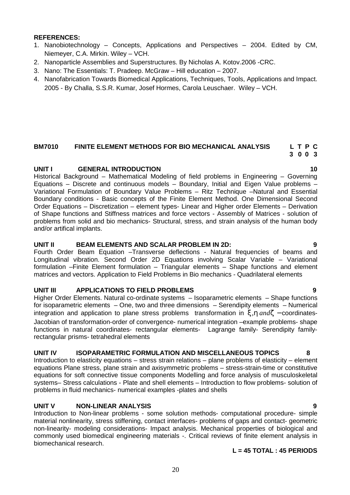#### **REFERENCES:**

- 1. Nanobiotechnology Concepts, Applications and Perspectives 2004. Edited by CM, Niemeyer, C.A. Mirkin. Wiley – VCH.
- 2. Nanoparticle Assemblies and Superstructures. By Nicholas A. Kotov.2006 -CRC.
- 3. Nano: The Essentials: T. Pradeep. McGraw Hill education 2007.
- 4. Nanofabrication Towards Biomedical Applications, Techniques, Tools, Applications and Impact. 2005 - By Challa, S.S.R. Kumar, Josef Hormes, Carola Leuschaer. Wiley – VCH.

#### **BM7010 FINITE ELEMENT METHODS FOR BIO MECHANICAL ANALYSIS L T P C 3 0 0 3**

#### **UNIT I GENERAL INTRODUCTION 10**

Historical Background – Mathematical Modeling of field problems in Engineering – Governing Equations – Discrete and continuous models – Boundary, Initial and Eigen Value problems – Variational Formulation of Boundary Value Problems – Ritz Technique –Natural and Essential Boundary conditions - Basic concepts of the Finite Element Method. One Dimensional Second Order Equations – Discretization – element types- Linear and Higher order Elements – Derivation of Shape functions and Stiffness matrices and force vectors - Assembly of Matrices - solution of problems from solid and bio mechanics- Structural, stress, and strain analysis of the human body and/or artifical implants. **EMPION FINITE ELEMENT METHODS FOR BIO MECHANICAL ANALYSIS LTP C**<br>
10 0 3 0 0 3<br>
Historical Background - Mathematical Modelling of field problems in Engineering - Governing<br>
Equations - Discrete and continuous models - Bou

#### **UNIT II BEAM ELEMENTS AND SCALAR PROBLEM IN 2D: 9**

Fourth Order Beam Equation –Transverse deflections - Natural frequencies of beams and Longitudinal vibration. Second Order 2D Equations involving Scalar Variable – Variational formulation –Finite Element formulation – Triangular elements – Shape functions and element matrices and vectors. Application to Field Problems in Bio mechanics - Quadrilateral elements

#### **UNIT III APPLICATIONS TO FIELD PROBLEMS 9**

Higher Order Elements. Natural co-ordinate systems – Isoparametric elements – Shape functions for isoparametric elements – One, two and three dimensions – Serendipity elements – Numerical integration and application to plane stress problems transformation in  $\langle$ , $\nabla$  and' – coordinatesfunctions in natural coordinates- rectangular elements- Lagrange family- Serendipity familyrectangular prisms- tetrahedral elements

#### **UNIT IV ISOPARAMETRIC FORMULATION AND MISCELLANEOUS TOPICS 8**

Introduction to elasticity equations – stress strain relations – plane problems of elasticity – element equations Plane stress, plane strain and axisymmetric problems – stress-strain-time or constitutive equations for soft connective tissue components Modelling and force analysis of musculoskeletal systems– Stress calculations - Plate and shell elements – Introduction to flow problems- solution of problems in fluid mechanics- numerical examples -plates and shells

#### **UNIT V NON-LINEAR ANALYSIS 9**

Introduction to Non-linear problems - some solution methods- computational procedure- simple material nonlinearity, stress stiffening, contact interfaces- problems of gaps and contact- geometric non-linearity- modeling considerations- Impact analysis. Mechanical properties of biological and commonly used biomedical engineering materials -. Critical reviews of finite element analysis in biomechanical research.

#### **L = 45 TOTAL : 45 PERIODS**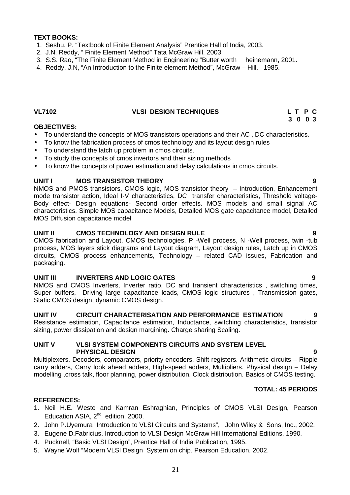#### **TEXT BOOKS:**

- 1. Seshu. P. "Textbook of Finite Element Analysis" Prentice Hall of India, 2003.
- 2. J.N. Reddy, " Finite Element Method" Tata McGraw Hill, 2003.
- 3. S.S. Rao, "The Finite Element Method in Engineering "Butter worth heinemann, 2001.

4. Reddy, J.N, "An Introduction to the Finite element Method", McGraw – Hill, 1985.

#### **VL7102 VLSI DESIGN TECHNIQUES L T P C**

#### **OBJECTIVES:**

- To understand the concepts of MOS transistors operations and their AC , DC characteristics.
- To know the fabrication process of cmos technology and its layout design rules
- To understand the latch up problem in cmos circuits.
- To study the concepts of cmos invertors and their sizing methods
- To know the concepts of power estimation and delay calculations in cmos circuits.

#### **UNIT I MOS TRANSISTOR THEORY 9**

NMOS and PMOS transistors, CMOS logic, MOS transistor theory – Introduction, Enhancement mode transistor action, Ideal I-V characteristics, DC transfer characteristics, Threshold voltage- Body effect- Design equations- Second order effects. MOS models and small signal AC characteristics, Simple MOS capacitance Models, Detailed MOS gate capacitance model, Detailed MOS Diffusion capacitance model

#### **UNIT II CMOS TECHNOLOGY AND DESIGN RULE 9**

CMOS fabrication and Layout, CMOS technologies, P -Well process, N -Well process, twin -tub process, MOS layers stick diagrams and Layout diagram, Layout design rules, Latch up in CMOS circuits, CMOS process enhancements, Technology – related CAD issues, Fabrication and packaging.

#### **UNIT III INVERTERS AND LOGIC GATES 9**

NMOS and CMOS Inverters, Inverter ratio, DC and transient characteristics , switching times, Super buffers, Driving large capacitance loads, CMOS logic structures , Transmission gates, Static CMOS design, dynamic CMOS design.

#### **UNIT IV CIRCUIT CHARACTERISATION AND PERFORMANCE ESTIMATION 9**

Resistance estimation, Capacitance estimation, Inductance, switching characteristics, transistor sizing, power dissipation and design margining. Charge sharing Scaling.

#### **UNIT V VLSI SYSTEM COMPONENTS CIRCUITS AND SYSTEM LEVEL PHYSICAL DESIGN 9**

Multiplexers, Decoders, comparators, priority encoders, Shift registers. Arithmetic circuits – Ripple carry adders, Carry look ahead adders, High-speed adders, Multipliers. Physical design – Delay modelling ,cross talk, floor planning, power distribution. Clock distribution. Basics of CMOS testing.

#### **TOTAL: 45 PERIODS**

#### **REFERENCES:**

- 1. Neil H.E. Weste and Kamran Eshraghian, Principles of CMOS VLSI Design, Pearson Education ASIA, 2<sup>nd</sup> edition, 2000.
- 2. John P.Uyemura "Introduction to VLSI Circuits and Systems", John Wiley & Sons, Inc., 2002.
- 3. Eugene D.Fabricius, Introduction to VLSI Design McGraw Hill International Editions, 1990.
- 4. Pucknell, "Basic VLSI Design", Prentice Hall of India Publication, 1995.
- 5. Wayne Wolf "Modern VLSI Design System on chip. Pearson Education. 2002.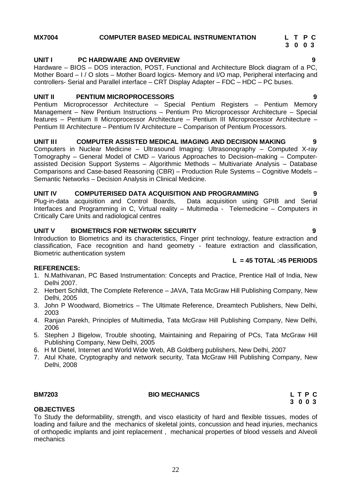### **MX7004 COMPUTER BASED MEDICAL INSTRUMENTATION L T P C**

#### **UNIT I PC HARDWARE AND OVERVIEW 9**

Hardware – BIOS – DOS interaction, POST, Functional and Architecture Block diagram of a PC, Mother Board – I / O slots – Mother Board logics- Memory and I/O map, Peripheral interfacing and controllers- Serial and Parallel interface – CRT Display Adapter – FDC – HDC – PC buses.

#### **UNIT II PENTIUM MICROPROCESSORS 9**

Pentium Microprocessor Architecture – Special Pentium Registers – Pentium Memory Management – New Pentium Instructions – Pentium Pro Microprocessor Architecture – Special features – Pentium II Microprocessor Architecture – Pentium III Microprocessor Architecture – Pentium III Architecture – Pentium IV Architecture – Comparison of Pentium Processors.

#### **UNIT III COMPUTER ASSISTED MEDICAL IMAGING AND DECISION MAKING 9**

Computers in Nuclear Medicine – Ultrasound Imaging: Ultrasonography – Computed X-ray Tomography – General Model of CMD – Various Approaches to Decision–making – Computer assisted Decision Support Systems – Algorithmic Methods – Multivariate Analysis – Database Comparisons and Case-based Reasoning (CBR) – Production Rule Systems – Cognitive Models – Semantic Networks – Decision Analysis in Clinical Medicine.

#### **UNIT IV COMPUTERISED DATA ACQUISITION AND PROGRAMMING 9**

Plug-in-data acquisition and Control Boards, Data acquisition using GPIB and Serial Interfaces and Programming in C, Virtual reality – Multimedia - Telemedicine – Computers in Critically Care Units and radiological centres

#### **UNIT V BIOMETRICS FOR NETWORK SECURITY 9**

Introduction to Biometrics and its characteristics, Finger print technology, feature extraction and classification, Face recognition and hand geometry - feature extraction and classification, Biometric authentication system

#### **REFERENCES:**

- 1. N.Mathivanan, PC Based Instrumentation: Concepts and Practice, Prentice Hall of India, New Delhi 2007.
- 2. Herbert Schildt, The Complete Reference JAVA, Tata McGraw Hill Publishing Company, New Delhi, 2005
- 3. John P Woodward, Biometrics The Ultimate Reference, Dreamtech Publishers, New Delhi, 2003
- 4. Ranjan Parekh, Principles of Multimedia, Tata McGraw Hill Publishing Company, New Delhi, 2006
- 5. Stephen J Bigelow, Trouble shooting, Maintaining and Repairing of PCs, Tata McGraw Hill Publishing Company, New Delhi, 2005
- 6. H M Dietel, Internet and World Wide Web, AB Goldberg publishers, New Delhi, 2007
- 7. Atul Khate, Cryptography and network security, Tata McGraw Hill Publishing Company, New Delhi, 2008

**OBJECTIVES**

#### **BM7203 BIO MECHANICS L T P C**

To Study the deformability, strength, and visco elasticity of hard and flexible tissues, modes of loading and failure and the mechanics of skeletal joints, concussion and head injuries, mechanics of orthopedic implants and joint replacement , mechanical properties of blood vessels and Alveoli mechanics

**L = 45 TOTAL :45 PERIODS**

**3 0 0 3**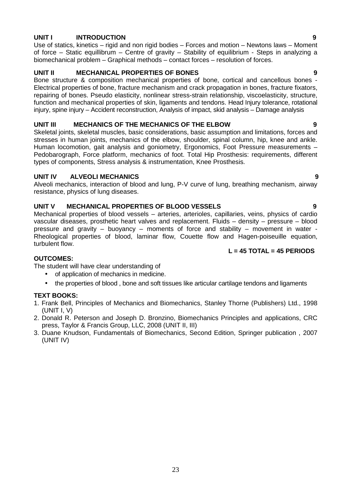#### **UNIT I INTRODUCTION 9**

Use of statics, kinetics – rigid and non rigid bodies – Forces and motion – Newtons laws – Moment of force – Static equillibrum – Centre of gravity – Stability of equilibrium - Steps in analyzing a biomechanical problem – Graphical methods – contact forces – resolution of forces.

#### **UNIT II MECHANICAL PROPERTIES OF BONES 9**

Bone structure & composition mechanical properties of bone, cortical and cancellous bones - Electrical properties of bone, fracture mechanism and crack propagation in bones, fracture fixators, repairing of bones. Pseudo elasticity, nonlinear stress-strain relationship, viscoelasticity, structure, function and mechanical properties of skin, ligaments and tendons. Head Injury tolerance, rotational injury, spine injury – Accident reconstruction, Analysis of impact, skid analysis – Damage analysis

#### **UNIT III MECHANICS OF THE MECHANICS OF THE ELBOW 9**

Skeletal joints, skeletal muscles, basic considerations, basic assumption and limitations, forces and stresses in human joints, mechanics of the elbow, shoulder, spinal column, hip, knee and ankle. Human locomotion, gait analysis and goniometry, Ergonomics, Foot Pressure measurements – Pedobarograph, Force platform, mechanics of foot. Total Hip Prosthesis: requirements, different types of components, Stress analysis & instrumentation, Knee Prosthesis.

#### **UNIT IV ALVEOLI MECHANICS 9**

Alveoli mechanics, interaction of blood and lung, P-V curve of lung, breathing mechanism, airway resistance, physics of lung diseases.

#### **UNIT V MECHANICAL PROPERTIES OF BLOOD VESSELS 9**

Mechanical properties of blood vessels – arteries, arterioles, capillaries, veins, physics of cardio vascular diseases, prosthetic heart valves and replacement. Fluids – density – pressure – blood pressure and gravity – buoyancy – moments of force and stability – movement in water - Rheological properties of blood, laminar flow, Couette flow and Hagen-poiseuille equation, turbulent flow.

#### **L = 45 TOTAL = 45 PERIODS**

#### **OUTCOMES:**

The student will have clear understanding of

- of application of mechanics in medicine.
- the properties of blood, bone and soft tissues like articular cartilage tendons and ligaments

#### **TEXT BOOKS:**

- 1. Frank Bell, Principles of Mechanics and Biomechanics, Stanley Thorne (Publishers) Ltd., 1998 (UNIT I, V)
- 2. Donald R. Peterson and Joseph D. Bronzino, Biomechanics Principles and applications, CRC press, Taylor & Francis Group, LLC, 2008 (UNIT II, III)
- 3. Duane Knudson, Fundamentals of Biomechanics, Second Edition, Springer publication , 2007 (UNIT IV)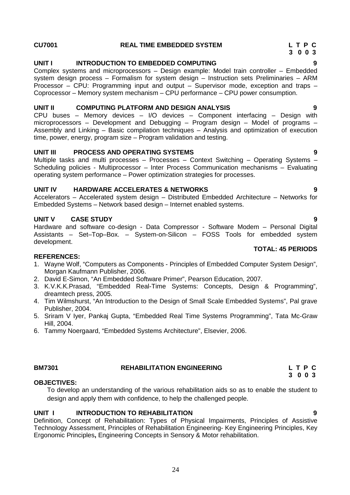#### **CU7001 REAL TIME EMBEDDED SYSTEM L T P C**

### **UNIT I INTRODUCTION TO EMBEDDED COMPUTING 9**

Complex systems and microprocessors – Design example: Model train controller – Embedded system design process – Formalism for system design – Instruction sets Preliminaries – ARM Processor – CPU: Programming input and output – Supervisor mode, exception and traps – Coprocessor – Memory system mechanism – CPU performance – CPU power consumption.

### **UNIT II COMPUTING PLATFORM AND DESIGN ANALYSIS 9**

CPU buses – Memory devices – I/O devices – Component interfacing – Design with microprocessors – Development and Debugging – Program design – Model of programs – Assembly and Linking – Basic compilation techniques – Analysis and optimization of execution time, power, energy, program size – Program validation and testing.

### **UNIT III PROCESS AND OPERATING SYSTEMS 9**

Multiple tasks and multi processes – Processes – Context Switching – Operating Systems – Scheduling policies - Multiprocessor – Inter Process Communication mechanisms – Evaluating operating system performance – Power optimization strategies for processes.

### **UNIT IV HARDWARE ACCELERATES & NETWORKS 9**

Accelerators – Accelerated system design – Distributed Embedded Architecture – Networks for Embedded Systems – Network based design – Internet enabled systems.

### **UNIT V CASE STUDY 9**

Hardware and software co-design - Data Compressor - Software Modem – Personal Digital Assistants – Set–Top–Box. – System-on-Silicon – FOSS Tools for embedded system development. **TOTAL: 45 PERIODS**

#### **REFERENCES:**

- 1. Wayne Wolf, "Computers as Components Principles of Embedded Computer System Design", Morgan Kaufmann Publisher, 2006.
- 2. David E-Simon, "An Embedded Software Primer", Pearson Education, 2007.
- 3. K.V.K.K.Prasad, "Embedded Real-Time Systems: Concepts, Design & Programming", dreamtech press, 2005.
- 4. Tim Wilmshurst, "An Introduction to the Design of Small Scale Embedded Systems", Pal grave Publisher, 2004.
- 5. Sriram V Iyer, Pankaj Gupta, "Embedded Real Time Systems Programming", Tata Mc-Graw Hill, 2004.
- 6. Tammy Noergaard, "Embedded Systems Architecture", Elsevier, 2006.

#### **OBJECTIVES:**

To develop an understanding of the various rehabilitation aids so as to enable the student to design and apply them with confidence, to help the challenged people.

#### **UNIT I INTRODUCTION TO REHABILITATION 9**

Definition, Concept of Rehabilitation: Types of Physical Impairments, Principles of Assistive Technology Assessment, Principles of Rehabilitation Engineering- Key Engineering Principles, Key Ergonomic Principles**,** Engineering Concepts in Sensory & Motor rehabilitation.

**3 0 0 3**

**BM7301 REHABILITATION ENGINEERING L T P C 3 0 0 3**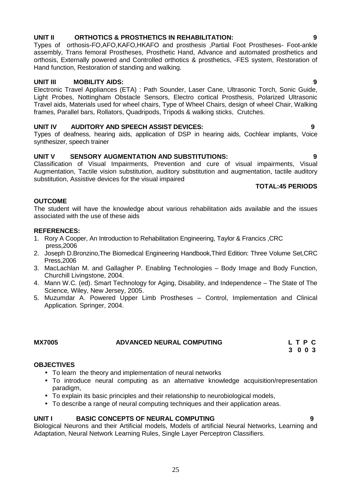#### **UNIT II ORTHOTICS & PROSTHETICS IN REHABILITATION: 9**

Types of orthosis-FO,AFO,KAFO,HKAFO and prosthesis ,Partial Foot Prostheses- Foot-ankle assembly, Trans femoral Prostheses, Prosthetic Hand, Advance and automated prosthetics and orthosis, Externally powered and Controlled orthotics & prosthetics, -FES system, Restoration of Hand function, Restoration of standing and walking.

### **UNIT III MOBILITY AIDS: 9**

Electronic Travel Appliances (ETA) : Path Sounder, Laser Cane, Ultrasonic Torch, Sonic Guide, Light Probes, Nottingham Obstacle Sensors, Electro cortical Prosthesis, Polarized Ultrasonic Travel aids, Materials used for wheel chairs, Type of Wheel Chairs, design of wheel Chair, Walking frames, Parallel bars, Rollators, Quadripods, Tripods & walking sticks, Crutches.

### **UNIT IV AUDITORY AND SPEECH ASSIST DEVICES: 9**

Types of deafness, hearing aids, application of DSP in hearing aids, Cochlear implants, Voice synthesizer, speech trainer

### **UNIT V SENSORY AUGMENTATION AND SUBSTITUTIONS: 9**

Classification of Visual Impairments, Prevention and cure of visual impairments, Visual Augmentation, Tactile vision substitution, auditory substitution and augmentation, tactile auditory substitution, Assistive devices for the visual impaired

### **TOTAL:45 PERIODS**

#### **OUTCOME**

The student will have the knowledge about various rehabilitation aids available and the issues associated with the use of these aids

#### **REFERENCES:**

- 1. Rory A Cooper, An Introduction to Rehabilitation Engineering, Taylor & Francics ,CRC press,2006
- 2. Joseph D.Bronzino,The Biomedical Engineering Handbook,Third Edition: Three Volume Set,CRC Press,2006
- 3. MacLachlan M. and Gallagher P. Enabling Technologies Body Image and Body Function, Churchill Livingstone, 2004.
- 4. Mann W.C. (ed). Smart Technology for Aging, Disability, and Independence The State of The Science*,* Wiley, New Jersey, 2005.
- 5. Muzumdar A. Powered Upper Limb Prostheses Control, Implementation and Clinical Application*.* Springer, 2004.

#### **MX7005 ADVANCED NEURAL COMPUTING L T P C**

**3 0 0 3**

#### **OBJECTIVES**

- To learn the theory and implementation of neural networks
- To introduce neural computing as an alternative knowledge acquisition/representation paradigm,
- To explain its basic principles and their relationship to neurobiological models,
- To describe a range of neural computing techniques and their application areas.

#### **UNIT I BASIC CONCEPTS OF NEURAL COMPUTING 9**

Biological Neurons and their Artificial models, Models of artificial Neural Networks, Learning and Adaptation, Neural Network Learning Rules, Single Layer Perceptron Classifiers.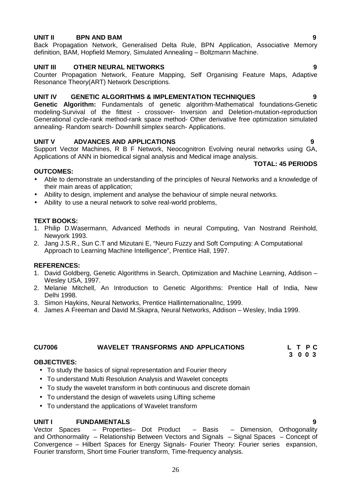#### **UNIT II BPN AND BAM 9**

Back Propagation Network, Generalised Delta Rule, BPN Application, Associative Memory definition, BAM, Hopfield Memory, Simulated Annealing – Boltzmann Machine.

#### **UNIT III OTHER NEURAL NETWORKS 9**

Counter Propagation Network, Feature Mapping, Self Organising Feature Maps, Adaptive Resonance Theory(ART) Network Descriptions.

#### **UNIT IV GENETIC ALGORITHMS & IMPLEMENTATION TECHNIQUES 9**

**Genetic Algorithm:** Fundamentals of genetic algorithm-Mathematical foundations-Genetic modeling-Survival of the fittest - crossover- Inversion and Deletion-mutation-reproduction Generational cycle-rank method-rank space method- Other derivative free optimization simulated annealing- Random search- Downhill simplex search- Applications.

#### **UNIT V ADVANCES AND APPLICATIONS 9**

Support Vector Machines, R B F Network, Neocognitron Evolving neural networks using GA, Applications of ANN in biomedical signal analysis and Medical image analysis.

#### **OUTCOMES:**

- Able to demonstrate an understanding of the principles of Neural Networks and a knowledge of their main areas of application;
- Ability to design, implement and analyse the behaviour of simple neural networks.
- Ability to use a neural network to solve real-world problems,

#### **TEXT BOOKS:**

- 1. Philip D.Wasermann, Advanced Methods in neural Computing, Van Nostrand Reinhold, Newyork 1993.
- 2. Jang J.S.R., Sun C.T and Mizutani E, "Neuro Fuzzy and Soft Computing: A Computational Approach to Learning Machine Intelligence", Prentice Hall, 1997.

#### **REFERENCES:**

- 1. David Goldberg, Genetic Algorithms in Search, Optimization and Machine Learning, Addison Wesley USA, 1997.
- 2. Melanie Mitchell, An Introduction to Genetic Algorithms: Prentice Hall of India, New Delhi 1998.
- 3. Simon Haykins, Neural Networks, Prentice HallinternationalInc, 1999.
- 4. James A Freeman and David M.Skapra, Neural Networks, Addison Wesley, India 1999.

#### **CU7006 WAVELET TRANSFORMS AND APPLICATIONS L T P C**

**3 0 0 3**

#### **OBJECTIVES:**

- To study the basics of signal representation and Fourier theory
- To understand Multi Resolution Analysis and Wavelet concepts
- To study the wavelet transform in both continuous and discrete domain
- To understand the design of wavelets using Lifting scheme
- To understand the applications of Wavelet transform

**UNIT I FUNDAMENTALS 9** – Properties– Dot Product and Orthonormality – Relationship Between Vectors and Signals – Signal Spaces – Concept of Convergence – Hilbert Spaces for Energy Signals- Fourier Theory: Fourier series expansion, Fourier transform, Short time Fourier transform, Time-frequency analysis.

### **TOTAL: 45 PERIODS**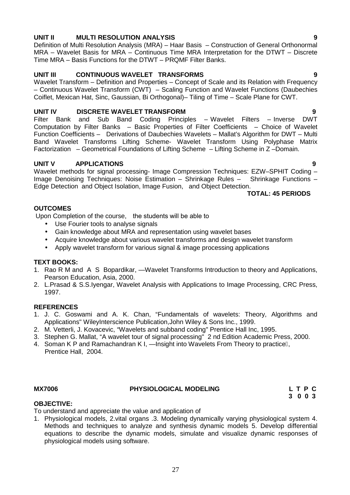#### **UNIT II MULTI RESOLUTION ANALYSIS 9**

Definition of Multi Resolution Analysis (MRA) – Haar Basis – Construction of General Orthonormal MRA – Wavelet Basis for MRA – Continuous Time MRA Interpretation for the DTWT – Discrete Time MRA – Basis Functions for the DTWT – PRQMF Filter Banks.

#### **UNIT III CONTINUOUS WAVELET TRANSFORMS 9**

Wavelet Transform – Definition and Properties – Concept of Scale and its Relation with Frequency – Continuous Wavelet Transform (CWT) – Scaling Function and Wavelet Functions (Daubechies Coiflet, Mexican Hat, Sinc, Gaussian, Bi Orthogonal)– Tiling of Time – Scale Plane for CWT.

**UNIT IV DISCRETE WAVELET TRANSFORM 9** Principles – Wavelet Filters – Inverse Computation by Filter Banks – Basic Properties of Filter Coefficients – Choice of Wavelet Function Coefficients – Derivations of Daubechies Wavelets – Mallat's Algorithm for DWT – Multi Band Wavelet Transforms Lifting Scheme- Wavelet Transform Using Polyphase Matrix Factorization – Geometrical Foundations of Lifting Scheme – Lifting Scheme in Z –Domain.

#### **UNIT V APPLICATIONS 9**

Wavelet methods for signal processing- Image Compression Techniques: EZW-SPHIT Coding -Image Denoising Techniques: Noise Estimation – Shrinkage Rules – Shrinkage Functions – Edge Detection and Object Isolation, Image Fusion, and Object Detection.

#### **TOTAL: 45 PERIODS**

#### **OUTCOMES**

Upon Completion of the course. the students will be able to

- Use Fourier tools to analyse signals
- Gain knowledge about MRA and representation using wavelet bases
- Acquire knowledge about various wavelet transforms and design wavelet transform
- Apply wavelet transform for various signal & image processing applications

#### **TEXT BOOKS:**

- 1. Rao R M and A S Bopardikar, Wavelet Transforms Introduction to theory and Applications, Pearson Education, Asia, 2000.
- 2. L.Prasad & S.S.Iyengar, Wavelet Analysis with Applications to Image Processing, CRC Press, 1997.

#### **REFERENCES**

- 1. J. C. Goswami and A. K. Chan, "Fundamentals of wavelets: Theory, Algorithms and Applications" WileyInterscience Publication,John Wiley & Sons Inc., 1999.
- 2. M. Vetterli, J. Kovacevic, "Wavelets and subband coding" Prentice Hall Inc, 1995.
- 3. Stephen G. Mallat, "A wavelet tour of signal processing" 2 nd Edition Academic Press, 2000.
- 4. Soman K P and Ramachandran K I, Insight into Wavelets From Theory to practice, Prentice Hall, 2004.

#### **MX7006 PHYSIOLOGICAL MODELING**

| LTPC    |  |  |
|---------|--|--|
| 3 0 0 3 |  |  |

#### **OBJECTIVE:**

To understand and appreciate the value and application of

1. Physiological models, 2.vital organs .3. Modeling dynamically varying physiological system 4. Methods and techniques to analyze and synthesis dynamic models 5. Develop differential equations to describe the dynamic models, simulate and visualize dynamic responses of physiological models using software.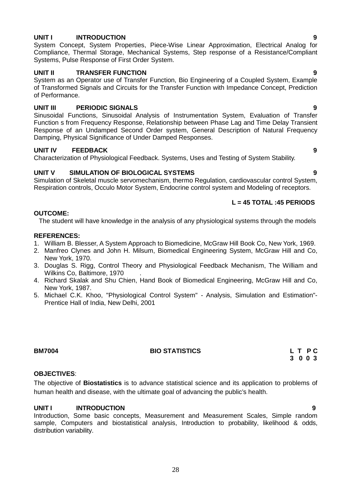### **UNIT I INTRODUCTION 9**

System Concept, System Properties, Piece-Wise Linear Approximation, Electrical Analog for Compliance, Thermal Storage, Mechanical Systems, Step response of a Resistance/Compliant Systems, Pulse Response of First Order System.

#### **UNIT II TRANSFER FUNCTION 9**

System as an Operator use of Transfer Function, Bio Engineering of a Coupled System, Example of Transformed Signals and Circuits for the Transfer Function with Impedance Concept, Prediction of Performance.

#### **UNIT III PERIODIC SIGNALS 9**

Sinusoidal Functions, Sinusoidal Analysis of Instrumentation System, Evaluation of Transfer Function s from Frequency Response, Relationship between Phase Lag and Time Delay Transient Response of an Undamped Second Order system, General Description of Natural Frequency Damping, Physical Significance of Under Damped Responses.

#### **UNIT IV FEEDBACK 9**

Characterization of Physiological Feedback. Systems, Uses and Testing of System Stability.

#### **UNIT V SIMULATION OF BIOLOGICAL SYSTEMS 9**

Simulation of Skeletal muscle servomechanism, thermo Regulation, cardiovascular control System, Respiration controls, Occulo Motor System, Endocrine control system and Modeling of receptors.

#### **L = 45 TOTAL :45 PERIODS**

#### **OUTCOME:**

The student will have knowledge in the analysis of any physiological systems through the models

#### **REFERENCES:**

- 1. William B. Blesser, A System Approach to Biomedicine, McGraw Hill Book Co, New York, 1969.
- 2. Manfreo Clynes and John H. Milsum, Biomedical Engineering System, McGraw Hill and Co, New York, 1970.
- 3. Douglas S. Rigg, Control Theory and Physiological Feedback Mechanism, The William and Wilkins Co, Baltimore, 1970
- 4. Richard Skalak and Shu Chien, Hand Book of Biomedical Engineering, McGraw Hill and Co, New York, 1987.
- 5. Michael C.K. Khoo, "Physiological Control System" Analysis, Simulation and Estimation"- Prentice Hall of India, New Delhi, 2001

### **BM7004 BIO STATISTICS L T P C**

# **3 0 0 3**

#### **OBJECTIVES**:

The objective of **Biostatistics** is to advance statistical science and its application to problems of human health and disease, with the ultimate goal of advancing the public's health.

#### **UNIT I INTRODUCTION 9**

Introduction, Some basic concepts, Measurement and Measurement Scales, Simple random sample, Computers and biostatistical analysis, Introduction to probability, likelihood & odds, distribution variability.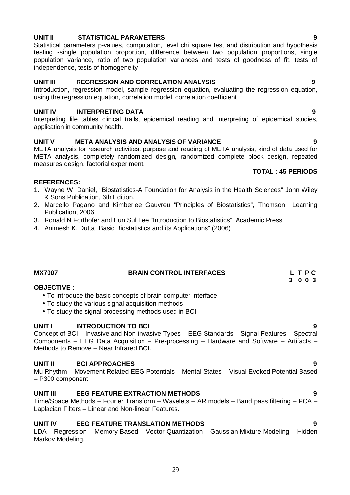#### **UNIT II STATISTICAL PARAMETERS 9**

Statistical parameters p-values, computation, level chi square test and distribution and hypothesis testing -single population proportion, difference between two population proportions, single population variance, ratio of two population variances and tests of goodness of fit, tests of independence, tests of homogeneity

#### **UNIT III REGRESSION AND CORRELATION ANALYSIS 9**

Introduction, regression model, sample regression equation, evaluating the regression equation, using the regression equation, correlation model, correlation coefficient

#### **UNIT IV INTERPRETING DATA 9**

Interpreting life tables clinical trails, epidemical reading and interpreting of epidemical studies, application in community health.

#### **UNIT V META ANALYSIS AND ANALYSIS OF VARIANCE 9**

META analysis for research activities, purpose and reading of META analysis, kind of data used for META analysis, completely randomized design, randomized complete block design, repeated measures design, factorial experiment.

#### **REFERENCES:**

- 1. Wayne W. Daniel, "Biostatistics-A Foundation for Analysis in the Health Sciences" John Wiley & Sons Publication, 6th Edition.
- 2. Marcello Pagano and Kimberlee Gauvreu "Principles of Biostatistics", Thomson Learning Publication, 2006.
- 3. Ronald N Forthofer and Eun Sul Lee "Introduction to Biostatistics", Academic Press
- 4. Animesh K. Dutta "Basic Biostatistics and its Applications" (2006)

#### **MX7007 BRAIN CONTROL INTERFACES L T P C 3 0 0 3**

#### **OBJECTIVE :**

- To introduce the basic concepts of brain computer interface
- To study the various signal acquisition methods
- To study the signal processing methods used in BCI

#### **UNIT I INTRODUCTION TO BCI 9**

Concept of BCI – Invasive and Non-invasive Types – EEG Standards – Signal Features – Spectral Components – EEG Data Acquisition – Pre-processing – Hardware and Software – Artifacts – Methods to Remove – Near Infrared BCI.

#### **UNIT II BCI APPROACHES 9**

Mu Rhythm – Movement Related EEG Potentials – Mental States – Visual Evoked Potential Based – P300 component.

#### **UNIT III EEG FEATURE EXTRACTION METHODS 9**

Time/Space Methods – Fourier Transform – Wavelets – AR models – Band pass filtering – PCA – Laplacian Filters – Linear and Non-linear Features.

#### **UNIT IV EEG FEATURE TRANSLATION METHODS 9**

LDA – Regression – Memory Based – Vector Quantization – Gaussian Mixture Modeling – Hidden Markov Modeling.

#### **TOTAL : 45 PERIODS**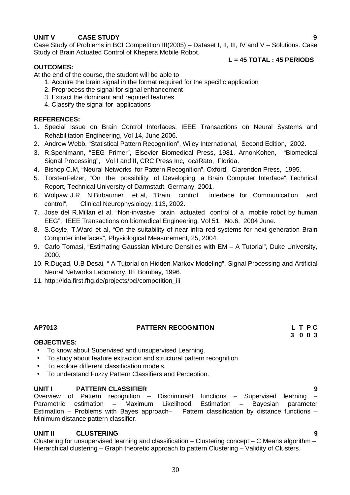### **UNIT V CASE STUDY 9**

Case Study of Problems in BCI Competition III(2005) – Dataset I, II, III, IV and V – Solutions. Case Study of Brain Actuated Control of Khepera Mobile Robot.

### **L = 45 TOTAL : 45 PERIODS**

**OUTCOMES:** At the end of the course, the student will be able to

- 1. Acquire the brain signal in the format required for the specific application
- 2. Preprocess the signal for signal enhancement
- 3. Extract the dominant and required features
- 4. Classify the signal for applications

#### **REFERENCES:**

- 1. Special Issue on Brain Control Interfaces, IEEE Transactions on Neural Systems and Rehabilitation Engineering, Vol 14, June 2006.
- 2. Andrew Webb, "Statistical Pattern Recognition", Wiley International, Second Edition, 2002.
- 3. R.Spehlmann, "EEG Primer", Elsevier Biomedical Press, 1981. ArnonKohen, "Biomedical Signal Processing", Vol I and II, CRC Press Inc, ocaRato, Florida.
- 4. Bishop C.M, "Neural Networks for Pattern Recognition", Oxford, Clarendon Press, 1995.
- 5. TorstenFelzer, "On the possibility of Developing a Brain Computer Interface", Technical Report, Technical University of Darmstadt, Germany, 2001.
- 6. Wolpaw J.R, N.Birbaumer et al, "Brain control interface for Communication and control", Clinical Neurophysiology, 113, 2002.
- 7. Jose del R.Millan et al, "Non-invasive brain actuated control of a mobile robot by human EEG", IEEE Transactions on biomedical Engineering, Vol 51, No.6, 2004 June.
- 8. S.Coyle, T.Ward et al, "On the suitability of near infra red systems for next generation Brain Computer interfaces", Physiological Measurement, 25, 2004.
- 9. Carlo Tomasi, "Estimating Gaussian Mixture Densities with EM A Tutorial", Duke University, 2000.
- 10. R.Dugad, U.B Desai, " A Tutorial on Hidden Markov Modeling", Signal Processing and Artificial Neural Networks Laboratory, IIT Bombay, 1996.
- 11. http:://ida.first.fhg.de/projects/bci/competition\_iii

#### **AP7013 PATTERN RECOGNITION L T P C**

# **3 0 0 3**

#### **OBJECTIVES:**

- To know about Supervised and unsupervised Learning.
- To study about feature extraction and structural pattern recognition.
- To explore different classification models.
- To understand Fuzzy Pattern Classifiers and Perception.

**UNIT I PATTERN CLASSIFIER 9** Discriminant functions – Supervised learning Parametric estimation – Maximum Likelihood Estimation – Bayesian parameter Estimation – Problems with Bayes approach– Pattern classification by distance functions – Minimum distance pattern classifier.

#### **UNIT II CLUSTERING 9**

Clustering for unsupervised learning and classification – Clustering concept – C Means algorithm – Hierarchical clustering – Graph theoretic approach to pattern Clustering – Validity of Clusters.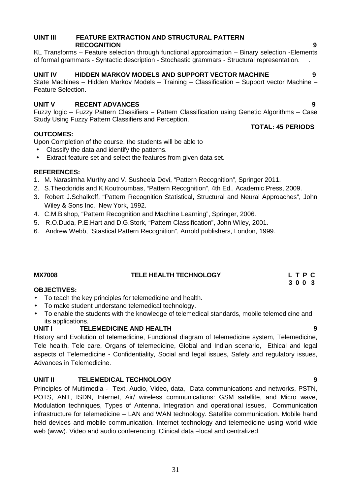#### **UINT III FEATURE EXTRACTION AND STRUCTURAL PATTERN RECOGNITION 9**

KL Transforms – Feature selection through functional approximation – Binary selection -Elements of formal grammars - Syntactic description - Stochastic grammars - Structural representation. .

#### **UNIT IV HIDDEN MARKOV MODELS AND SUPPORT VECTOR MACHINE 9**

State Machines – Hidden Markov Models – Training – Classification – Support vector Machine – Feature Selection.

### **UNIT V RECENT ADVANCES 9**

Fuzzy logic – Fuzzy Pattern Classifiers – Pattern Classification using Genetic Algorithms – Case Study Using Fuzzy Pattern Classifiers and Perception. **TOTAL: 45 PERIODS**

#### **OUTCOMES:**

Upon Completion of the course, the students will be able to

- Classify the data and identify the patterns.
- Extract feature set and select the features from given data set.

#### **REFERENCES:**

- 1. M. Narasimha Murthy and V. Susheela Devi, "Pattern Recognition", Springer 2011.
- 2. S.Theodoridis and K.Koutroumbas, "Pattern Recognition", 4th Ed., Academic Press, 2009.
- 3. Robert J.Schalkoff, "Pattern Recognition Statistical, Structural and Neural Approaches", John Wiley & Sons Inc., New York, 1992.
- 4. C.M.Bishop, "Pattern Recognition and Machine Learning", Springer, 2006.
- 5. R.O.Duda, P.E.Hart and D.G.Stork, "Pattern Classification", John Wiley, 2001.
- 6. Andrew Webb, "Stastical Pattern Recognition", Arnold publishers, London, 1999.

#### **MX7008 TELE HEALTH TECHNOLOGY L T P C**

#### **OBJECTIVES:**

- To teach the key principles for telemedicine and health.
- To make student understand telemedical technology.
- To enable the students with the knowledge of telemedical standards, mobile telemedicine and its applications.

#### **UNIT I TELEMEDICINE AND HEALTH 9**

History and Evolution of telemedicine, Functional diagram of telemedicine system, Telemedicine, Tele health, Tele care, Organs of telemedicine, Global and Indian scenario, Ethical and legal aspects of Telemedicine - Confidentiality, Social and legal issues, Safety and regulatory issues, Advances in Telemedicine.

#### **UNIT II TELEMEDICAL TECHNOLOGY 9**

Principles of Multimedia - Text, Audio, Video, data, Data communications and networks, PSTN, POTS, ANT, ISDN, Internet, Air/ wireless communications: GSM satellite, and Micro wave, Modulation techniques, Types of Antenna, Integration and operational issues, Communication infrastructure for telemedicine – LAN and WAN technology. Satellite communication. Mobile hand held devices and mobile communication. Internet technology and telemedicine using world wide web (www). Video and audio conferencing. Clinical data –local and centralized.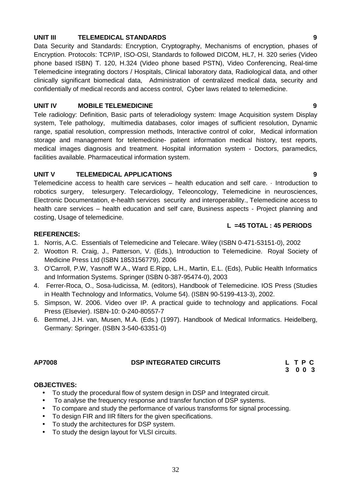#### **UNIT III TELEMEDICAL STANDARDS 9**

Data Security and Standards: Encryption, Cryptography, Mechanisms of encryption, phases of Encryption. Protocols: TCP/IP, ISO-OSI, Standards to followed DICOM, HL7, H. 320 series (Video phone based ISBN) T. 120, H.324 (Video phone based PSTN), Video Conferencing, Real-time Telemedicine integrating doctors / Hospitals, Clinical laboratory data, Radiological data, and other clinically significant biomedical data, Administration of centralized medical data, security and confidentially of medical records and access control, Cyber laws related to telemedicine.

#### **UNIT IV MOBILE TELEMEDICINE 9**

Tele radiology: Definition, Basic parts of teleradiology system: Image Acquisition system Display system, Tele pathology, multimedia databases, color images of sufficient resolution, Dynamic range, spatial resolution, compression methods, Interactive control of color, Medical information storage and management for telemedicine- patient information medical history, test reports, medical images diagnosis and treatment. Hospital information system - Doctors, paramedics, facilities available. Pharmaceutical information system.

#### **UNIT V TELEMEDICAL APPLICATIONS 9**

Telemedicine access to health care services – health education and self care. · Introduction to robotics surgery, telesurgery. Telecardiology, Teleoncology, Telemedicine in neurosciences, Electronic Documentation, e-health services security and interoperability., Telemedicine access to health care services – health education and self care, Business aspects - Project planning and costing, Usage of telemedicine.

#### **L =45 TOTAL : 45 PERIODS**

#### **REFERENCES:**

- 1. Norris, A.C. Essentials of Telemedicine and Telecare. Wiley (ISBN 0-471-53151-0), 2002
- 2. Wootton R. Craig, J., Patterson, V. (Eds.), Introduction to Telemedicine. Royal Society of Medicine Press Ltd (ISBN 1853156779), 2006
- 3. O'Carroll, P.W, Yasnoff W.A., Ward E.Ripp, L.H., Martin, E.L. (Eds), Public Health Informatics and Information Systems. Springer (ISBN 0-387-95474-0), 2003
- 4. Ferrer-Roca, O., Sosa-Iudicissa, M. (editors), Handbook of Telemedicine. IOS Press (Studies in Health Technology and Informatics, Volume 54). (ISBN 90-5199-413-3), 2002.
- 5. Simpson, W. 2006. Video over IP. A practical guide to technology and applications. Focal Press (Elsevier). ISBN-10: 0-240-80557-7
- 6. Bemmel, J.H. van, Musen, M.A. (Eds.) (1997). Handbook of Medical Informatics. Heidelberg, Germany: Springer. (ISBN 3-540-63351-0)

#### **AP7008 DSP INTEGRATED CIRCUITS L T P C**

**3 0 0 3**

#### **OBJECTIVES:**

- To study the procedural flow of system design in DSP and Integrated circuit.
- To analyse the frequency response and transfer function of DSP systems.
- To compare and study the performance of various transforms for signal processing.
- To design FIR and IIR filters for the given specifications.
- To study the architectures for DSP system.
- To study the design layout for VLSI circuits.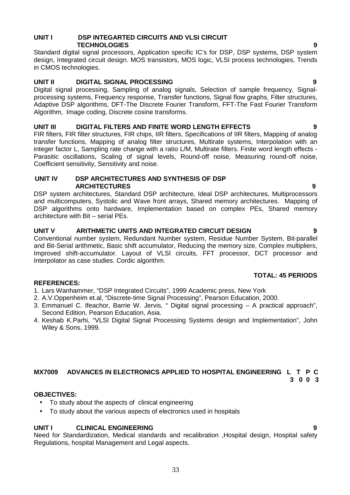#### **UNIT I DSP INTEGARTED CIRCUITS AND VLSI CIRCUIT TECHNOLOGIES 9**

Standard digital signal processors, Application specific IC's for DSP, DSP systems, DSP system design, Integrated circuit design. MOS transistors, MOS logic, VLSI process technologies, Trends in CMOS technologies.

#### **UNIT II DIGITAL SIGNAL PROCESSING 9**

Digital signal processing, Sampling of analog signals, Selection of sample frequency, Signal processing systems, Frequency response, Transfer functions, Signal flow graphs, Filter structures, Adaptive DSP algorithms, DFT-The Discrete Fourier Transform, FFT-The Fast Fourier Transform Algorithm, Image coding, Discrete cosine transforms.

#### **UNIT III DIGITAL FILTERS AND FINITE WORD LENGTH EFFECTS 9**

FIR filters, FIR filter structures, FIR chips, IIR filters, Specifications of IIR filters, Mapping of analog transfer functions, Mapping of analog filter structures, Multirate systems, Interpolation with an integer factor L, Sampling rate change with a ratio L/M, Multirate filters. Finite word length effects - Parasitic oscillations, Scaling of signal levels, Round-off noise, Measuring round-off noise, Coefficient sensitivity, Sensitivity and noise.

#### **UNIT IV DSP ARCHITECTURES AND SYNTHESIS OF DSP ARCHITECTURES 9**

DSP system architectures, Standard DSP architecture, Ideal DSP architectures, Multiprocessors and multicomputers, Systolic and Wave front arrays, Shared memory architectures. Mapping of DSP algorithms onto hardware, Implementation based on complex PEs, Shared memory architecture with Bit – serial PEs.

#### **UNIT V ARITHMETIC UNITS AND INTEGRATED CIRCUIT DESIGN 9**

Conventional number system, Redundant Number system, Residue Number System, Bit-parallel and Bit-Serial arithmetic, Basic shift accumulator, Reducing the memory size, Complex multipliers, Improved shift-accumulator. Layout of VLSI circuits, FFT processor, DCT processor and Interpolator as case studies. Cordic algorithm.

#### **TOTAL: 45 PERIODS**

#### **REFERENCES:**

- 1. Lars Wanhammer, "DSP Integrated Circuits", 1999 Academic press, New York
- 2. A.V.Oppenheim et.al, "Discrete-time Signal Processing", Pearson Education, 2000.
- 3. Emmanuel C. Ifeachor, Barrie W. Jervis, " Digital signal processing A practical approach", Second Edition, Pearson Education, Asia.
- 4. Keshab K.Parhi, "VLSI Digital Signal Processing Systems design and Implementation", John Wiley & Sons, 1999.

#### **MX7009 ADVANCES IN ELECTRONICS APPLIED TO HOSPITAL ENGINEERING L T P C 3 0 0 3**

### **OBJECTIVES:**

- To study about the aspects of clinical engineering
- To study about the various aspects of electronics used in hospitals

#### **UNIT I CLINICAL ENGINEERING 9**

Need for Standardization, Medical standards and recalibration ,Hospital design, Hospital safety Regulations, hospital Management and Legal aspects.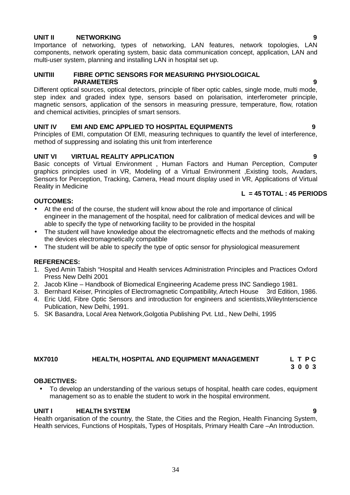### **UNIT II NETWORKING 9**

Importance of networking, types of networking, LAN features, network topologies, LAN components, network operating system, basic data communication concept, application, LAN and multi-user system, planning and installing LAN in hospital set up.

#### **UNITIII FIBRE OPTIC SENSORS FOR MEASURING PHYSIOLOGICAL PARAMETERS 9**

Different optical sources, optical detectors, principle of fiber optic cables, single mode, multi mode, step index and graded index type, sensors based on polarisation, interferometer principle, magnetic sensors, application of the sensors in measuring pressure, temperature, flow, rotation and chemical activities, principles of smart sensors.

#### **UNIT IV EMI AND EMC APPLIED TO HOSPITAL EQUIPMENTS 9**

Principles of EMI, computation Of EMI, measuring techniques to quantify the level of interference, method of suppressing and isolating this unit from interference

#### **UNIT VI VIRTUAL REALITY APPLICATION 9**

Basic concepts of Virtual Environment , Human Factors and Human Perception, Computer graphics principles used in VR, Modeling of a Virtual Environment ,Existing tools, Avadars, Sensors for Perception, Tracking, Camera, Head mount display used in VR, Applications of Virtual Reality in Medicine

#### **OUTCOMES:**

- At the end of the course, the student will know about the role and importance of clinical engineer in the management of the hospital, need for calibration of medical devices and will be able to specify the type of networking facility to be provided in the hospital
- The student will have knowledge about the electromagnetic effects and the methods of making the devices electromagnetically compatible
- The student will be able to specify the type of optic sensor for physiological measurement

#### **REFERENCES:**

- 1. Syed Amin Tabish "Hospital and Health services Administration Principles and Practices Oxford Press New Delhi 2001
- 2. Jacob Kline Handbook of Biomedical Engineering Academe press INC Sandiego 1981.
- 3. Bernhard Keiser, Principles of Electromagnetic Compatibility, Artech House 3rd Edition, 1986.
- 4. Eric Udd, Fibre Optic Sensors and introduction for engineers and scientists,WileyInterscience Publication, New Delhi, 1991.
- 5. SK Basandra, Local Area Network,Golgotia Publishing Pvt. Ltd., New Delhi, 1995

#### **MX7010 HEALTH, HOSPITAL AND EQUIPMENT MANAGEMENT L T P C 3 0 0 3**

#### **OBJECTIVES:**

 To develop an understanding of the various setups of hospital, health care codes, equipment management so as to enable the student to work in the hospital environment.

#### **UNIT I HEALTH SYSTEM 9**

Health organisation of the country, the State, the Cities and the Region, Health Financing System, Health services, Functions of Hospitals, Types of Hospitals, Primary Health Care –An Introduction.

**L = 45TOTAL : 45 PERIODS**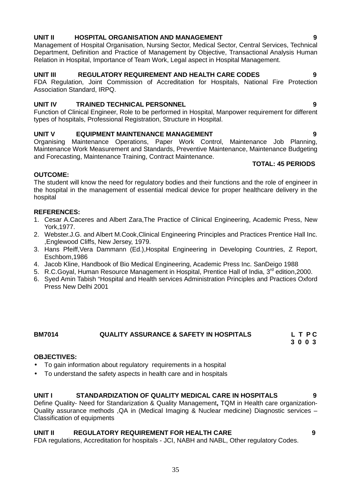### **UNIT II HOSPITAL ORGANISATION AND MANAGEMENT 9**

Management of Hospital Organisation, Nursing Sector, Medical Sector, Central Services, Technical Department, Definition and Practice of Management by Objective, Transactional Analysis Human Relation in Hospital, Importance of Team Work, Legal aspect in Hospital Management.

#### **UNIT III REGULATORY REQUIREMENT AND HEALTH CARE CODES 9**

FDA Regulation, Joint Commission of Accreditation for Hospitals, National Fire Protection Association Standard, IRPQ.

#### **UNIT IV TRAINED TECHNICAL PERSONNEL 9**

Function of Clinical Engineer, Role to be performed in Hospital, Manpower requirement for different types of hospitals, Professional Registration, Structure in Hospital.

#### **UNIT V EQUIPMENT MAINTENANCE MANAGEMENT 9**

Organising Maintenance Operations, Paper Work Control, Maintenance Job Planning, Maintenance Work Measurement and Standards, Preventive Maintenance, Maintenance Budgeting and Forecasting, Maintenance Training, Contract Maintenance.

### **TOTAL: 45 PERIODS**

#### **OUTCOME:**

The student will know the need for regulatory bodies and their functions and the role of engineer in the hospital in the management of essential medical device for proper healthcare delivery in the hospital

#### **REFERENCES:**

- 1. Cesar A.Caceres and Albert Zara,The Practice of Clinical Engineering, Academic Press, New York,1977.
- 2. Webster.J.G. and Albert M.Cook,Clinical Engineering Principles and Practices Prentice Hall Inc. ,Englewood Cliffs, New Jersey, 1979.
- 3. Hans Pfeiff,Vera Dammann (Ed.),Hospital Engineering in Developing Countries, Z Report, Eschbom,1986
- 4. Jacob Kline, Handbook of Bio Medical Engineering, Academic Press Inc. SanDeigo 1988
- 5. R.C.Goyal, Human Resource Management in Hospital, Prentice Hall of India, 3<sup>rd</sup> edition, 2000.
- 6. Syed Amin Tabish "Hospital and Health services Administration Principles and Practices Oxford Press New Delhi 2001

#### **BM7014 QUALITY ASSURANCE & SAFETY IN HOSPITALS L T P C 3 0 0 3**

#### **OBJECTIVES:**

- To gain information about regulatory requirements in a hospital
- To understand the safety aspects in health care and in hospitals

#### **UNIT I STANDARDIZATION OF QUALITY MEDICAL CARE IN HOSPITALS 9**

Define Quality- Need for Standarization & Quality Management**,** TQM in Health care organization- Quality assurance methods ,QA in (Medical Imaging & Nuclear medicine) Diagnostic services – Classification of equipments

#### **UNIT II REGULATORY REQUIREMENT FOR HEALTH CARE 9**

FDA regulations, Accreditation for hospitals - JCI, NABH and NABL, Other regulatory Codes.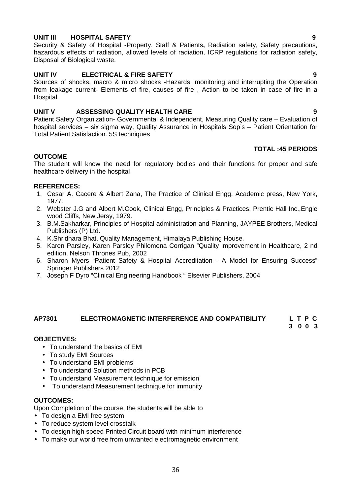#### **UNIT III HOSPITAL SAFETY 9**

Security & Safety of Hospital -Property, Staff & Patients**,** Radiation safety, Safety precautions, hazardous effects of radiation, allowed levels of radiation, ICRP regulations for radiation safety, Disposal of Biological waste.

#### **UNIT IV ELECTRICAL & FIRE SAFETY 9**

Sources of shocks, macro & micro shocks -Hazards, monitoring and interrupting the Operation from leakage current- Elements of fire, causes of fire , Action to be taken in case of fire in a Hospital.

#### **UNIT V ASSESSING QUALITY HEALTH CARE 9**

Patient Safety Organization- Governmental & Independent, Measuring Quality care – Evaluation of hospital services – six sigma way, Quality Assurance in Hospitals Sop's – Patient Orientation for Total Patient Satisfaction. 5S techniques

#### **TOTAL :45 PERIODS**

#### **OUTCOME**

The student will know the need for regulatory bodies and their functions for proper and safe healthcare delivery in the hospital

#### **REFERENCES:**

- 1. Cesar A. Cacere & Albert Zana, The Practice of Clinical Engg. Academic press, New York, 1977.
- 2. Webster J.G and Albert M.Cook, Clinical Engg, Principles & Practices, Prentic Hall Inc.,Engle wood Cliffs, New Jersy, 1979.
- 3. B.M.Sakharkar, Principles of Hospital administration and Planning, JAYPEE Brothers, Medical Publishers (P) Ltd.
- 4. K.Shridhara Bhat, Quality Management, Himalaya Publishing House.
- 5. Karen Parsley, Karen Parsley Philomena Corrigan "Quality improvement in Healthcare, 2 nd edition, Nelson Thrones Pub, 2002
- 6. Sharon Myers "Patient Safety & Hospital Accreditation A Model for Ensuring Success" Springer Publishers 2012
- 7. Joseph F Dyro "Clinical Engineering Handbook " Elsevier Publishers, 2004

#### **AP7301 ELECTROMAGNETIC INTERFERENCE AND COMPATIBILITY L T P C**

#### **3 0 0 3**

#### **OBJECTIVES:**

- To understand the basics of EMI
- To study EMI Sources
- To understand EMI problems
- To understand Solution methods in PCB
- To understand Measurement technique for emission
- To understand Measurement technique for immunity

#### **OUTCOMES:**

Upon Completion of the course, the students will be able to

- To design a EMI free system
- To reduce system level crosstalk
- To design high speed Printed Circuit board with minimum interference
- To make our world free from unwanted electromagnetic environment